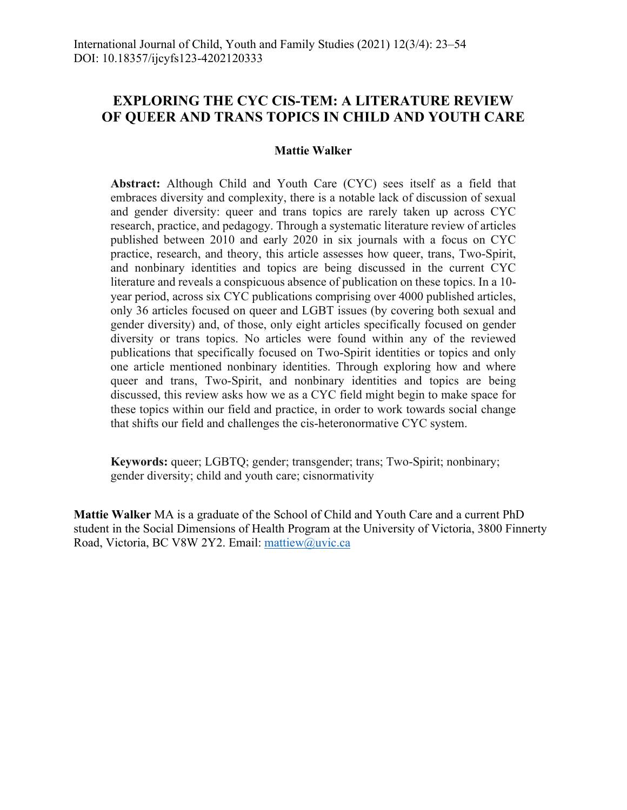# **EXPLORING THE CYC CIS-TEM: A LITERATURE REVIEW OF QUEER AND TRANS TOPICS IN CHILD AND YOUTH CARE**

## **Mattie Walker**

**Abstract:** Although Child and Youth Care (CYC) sees itself as a field that embraces diversity and complexity, there is a notable lack of discussion of sexual and gender diversity: queer and trans topics are rarely taken up across CYC research, practice, and pedagogy. Through a systematic literature review of articles published between 2010 and early 2020 in six journals with a focus on CYC practice, research, and theory, this article assesses how queer, trans, Two-Spirit, and nonbinary identities and topics are being discussed in the current CYC literature and reveals a conspicuous absence of publication on these topics. In a 10 year period, across six CYC publications comprising over 4000 published articles, only 36 articles focused on queer and LGBT issues (by covering both sexual and gender diversity) and, of those, only eight articles specifically focused on gender diversity or trans topics. No articles were found within any of the reviewed publications that specifically focused on Two-Spirit identities or topics and only one article mentioned nonbinary identities. Through exploring how and where queer and trans, Two-Spirit, and nonbinary identities and topics are being discussed, this review asks how we as a CYC field might begin to make space for these topics within our field and practice, in order to work towards social change that shifts our field and challenges the cis-heteronormative CYC system.

**Keywords:** queer; LGBTQ; gender; transgender; trans; Two-Spirit; nonbinary; gender diversity; child and youth care; cisnormativity

**Mattie Walker** MA is a graduate of the School of Child and Youth Care and a current PhD student in the Social Dimensions of Health Program at the University of Victoria, 3800 Finnerty Road, Victoria, BC V8W 2Y2. Email: mattiew@uvic.ca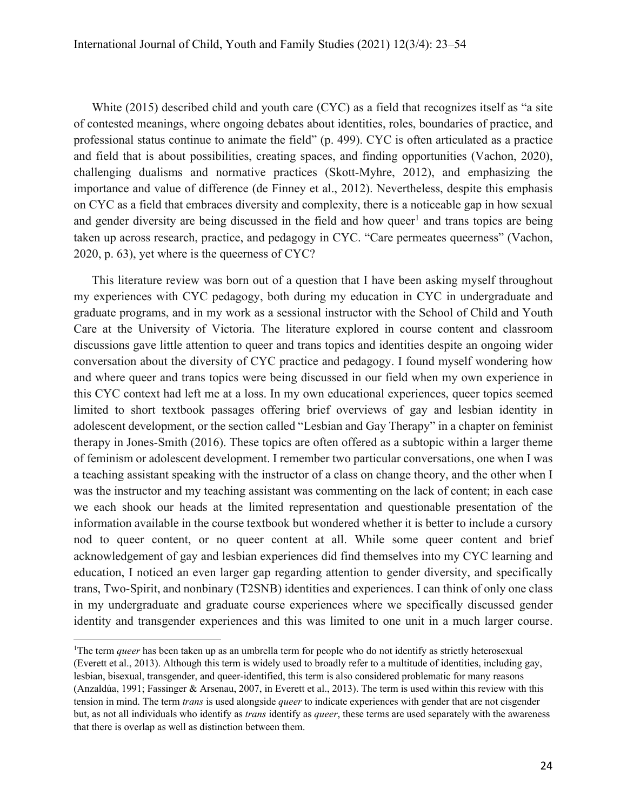White (2015) described child and youth care (CYC) as a field that recognizes itself as "a site of contested meanings, where ongoing debates about identities, roles, boundaries of practice, and professional status continue to animate the field" (p. 499). CYC is often articulated as a practice and field that is about possibilities, creating spaces, and finding opportunities (Vachon, 2020), challenging dualisms and normative practices (Skott-Myhre, 2012), and emphasizing the importance and value of difference (de Finney et al., 2012). Nevertheless, despite this emphasis on CYC as a field that embraces diversity and complexity, there is a noticeable gap in how sexual and gender diversity are being discussed in the field and how queer<sup>1</sup> and trans topics are being taken up across research, practice, and pedagogy in CYC. "Care permeates queerness" (Vachon, 2020, p. 63), yet where is the queerness of CYC?

This literature review was born out of a question that I have been asking myself throughout my experiences with CYC pedagogy, both during my education in CYC in undergraduate and graduate programs, and in my work as a sessional instructor with the School of Child and Youth Care at the University of Victoria. The literature explored in course content and classroom discussions gave little attention to queer and trans topics and identities despite an ongoing wider conversation about the diversity of CYC practice and pedagogy. I found myself wondering how and where queer and trans topics were being discussed in our field when my own experience in this CYC context had left me at a loss. In my own educational experiences, queer topics seemed limited to short textbook passages offering brief overviews of gay and lesbian identity in adolescent development, or the section called "Lesbian and Gay Therapy" in a chapter on feminist therapy in Jones-Smith (2016). These topics are often offered as a subtopic within a larger theme of feminism or adolescent development. I remember two particular conversations, one when I was a teaching assistant speaking with the instructor of a class on change theory, and the other when I was the instructor and my teaching assistant was commenting on the lack of content; in each case we each shook our heads at the limited representation and questionable presentation of the information available in the course textbook but wondered whether it is better to include a cursory nod to queer content, or no queer content at all. While some queer content and brief acknowledgement of gay and lesbian experiences did find themselves into my CYC learning and education, I noticed an even larger gap regarding attention to gender diversity, and specifically trans, Two-Spirit, and nonbinary (T2SNB) identities and experiences. I can think of only one class in my undergraduate and graduate course experiences where we specifically discussed gender identity and transgender experiences and this was limited to one unit in a much larger course.

<sup>&</sup>lt;sup>1</sup>The term *queer* has been taken up as an umbrella term for people who do not identify as strictly heterosexual (Everett et al., 2013). Although this term is widely used to broadly refer to a multitude of identities, including gay, lesbian, bisexual, transgender, and queer-identified, this term is also considered problematic for many reasons (Anzaldúa, 1991; Fassinger & Arsenau, 2007, in Everett et al., 2013). The term is used within this review with this tension in mind. The term *trans* is used alongside *queer* to indicate experiences with gender that are not cisgender but, as not all individuals who identify as *trans* identify as *queer*, these terms are used separately with the awareness that there is overlap as well as distinction between them.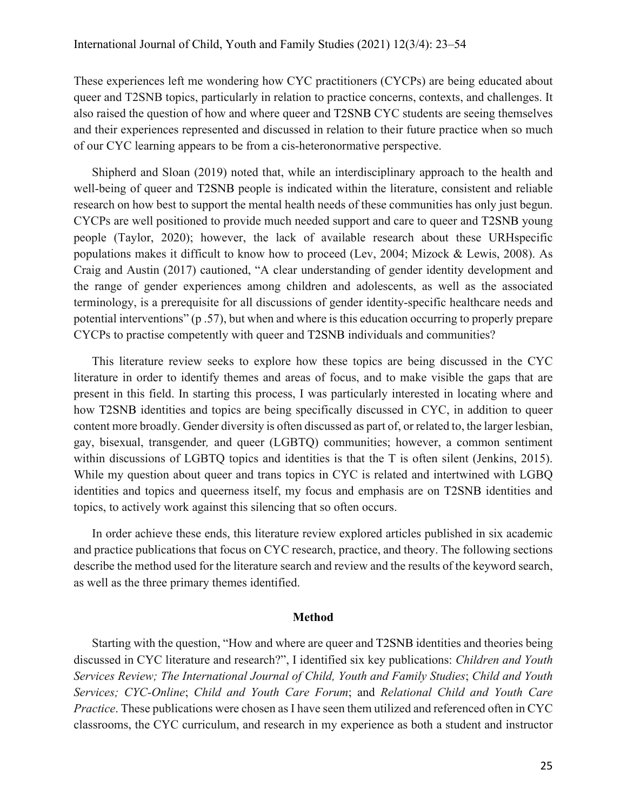These experiences left me wondering how CYC practitioners (CYCPs) are being educated about queer and T2SNB topics, particularly in relation to practice concerns, contexts, and challenges. It also raised the question of how and where queer and T2SNB CYC students are seeing themselves and their experiences represented and discussed in relation to their future practice when so much of our CYC learning appears to be from a cis-heteronormative perspective.

Shipherd and Sloan (2019) noted that, while an interdisciplinary approach to the health and well-being of queer and T2SNB people is indicated within the literature, consistent and reliable research on how best to support the mental health needs of these communities has only just begun. CYCPs are well positioned to provide much needed support and care to queer and T2SNB young people (Taylor, 2020); however, the lack of available research about these URHspecific populations makes it difficult to know how to proceed (Lev, 2004; Mizock & Lewis, 2008). As Craig and Austin (2017) cautioned, "A clear understanding of gender identity development and the range of gender experiences among children and adolescents, as well as the associated terminology, is a prerequisite for all discussions of gender identity-specific healthcare needs and potential interventions" (p .57), but when and where is this education occurring to properly prepare CYCPs to practise competently with queer and T2SNB individuals and communities?

This literature review seeks to explore how these topics are being discussed in the CYC literature in order to identify themes and areas of focus, and to make visible the gaps that are present in this field. In starting this process, I was particularly interested in locating where and how T2SNB identities and topics are being specifically discussed in CYC, in addition to queer content more broadly. Gender diversity is often discussed as part of, or related to, the larger lesbian, gay, bisexual, transgender*,* and queer (LGBTQ) communities; however, a common sentiment within discussions of LGBTQ topics and identities is that the T is often silent (Jenkins, 2015). While my question about queer and trans topics in CYC is related and intertwined with LGBQ identities and topics and queerness itself, my focus and emphasis are on T2SNB identities and topics, to actively work against this silencing that so often occurs.

In order achieve these ends, this literature review explored articles published in six academic and practice publications that focus on CYC research, practice, and theory. The following sections describe the method used for the literature search and review and the results of the keyword search, as well as the three primary themes identified.

#### **Method**

Starting with the question, "How and where are queer and T2SNB identities and theories being discussed in CYC literature and research?", I identified six key publications: *Children and Youth Services Review; The International Journal of Child, Youth and Family Studies*; *Child and Youth Services; CYC-Online*; *Child and Youth Care Forum*; and *Relational Child and Youth Care Practice*. These publications were chosen as I have seen them utilized and referenced often in CYC classrooms, the CYC curriculum, and research in my experience as both a student and instructor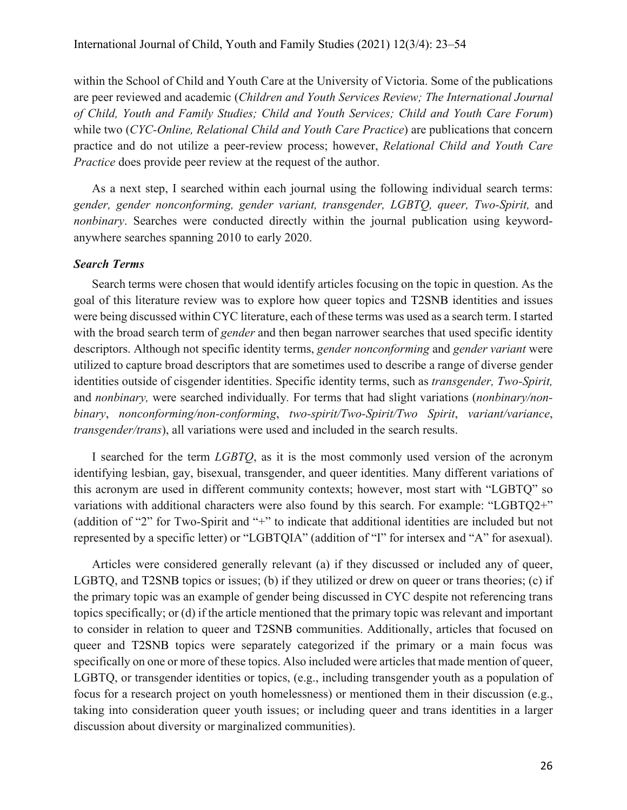within the School of Child and Youth Care at the University of Victoria. Some of the publications are peer reviewed and academic (*Children and Youth Services Review; The International Journal of Child, Youth and Family Studies; Child and Youth Services; Child and Youth Care Forum*) while two (*CYC-Online, Relational Child and Youth Care Practice*) are publications that concern practice and do not utilize a peer-review process; however, *Relational Child and Youth Care Practice* does provide peer review at the request of the author.

As a next step, I searched within each journal using the following individual search terms: *gender, gender nonconforming, gender variant, transgender, LGBTQ, queer, Two-Spirit,* and *nonbinary*. Searches were conducted directly within the journal publication using keywordanywhere searches spanning 2010 to early 2020.

#### *Search Terms*

Search terms were chosen that would identify articles focusing on the topic in question. As the goal of this literature review was to explore how queer topics and T2SNB identities and issues were being discussed within CYC literature, each of these terms was used as a search term. I started with the broad search term of *gender* and then began narrower searches that used specific identity descriptors. Although not specific identity terms, *gender nonconforming* and *gender variant* were utilized to capture broad descriptors that are sometimes used to describe a range of diverse gender identities outside of cisgender identities. Specific identity terms, such as *transgender, Two-Spirit,*  and *nonbinary,* were searched individually*.* For terms that had slight variations (*nonbinary/nonbinary*, *nonconforming/non-conforming*, *two-spirit/Two-Spirit/Two Spirit*, *variant/variance*, *transgender/trans*), all variations were used and included in the search results.

I searched for the term *LGBTQ*, as it is the most commonly used version of the acronym identifying lesbian, gay, bisexual, transgender, and queer identities. Many different variations of this acronym are used in different community contexts; however, most start with "LGBTQ" so variations with additional characters were also found by this search. For example: "LGBTQ2+" (addition of "2" for Two-Spirit and "+" to indicate that additional identities are included but not represented by a specific letter) or "LGBTQIA" (addition of "I" for intersex and "A" for asexual).

Articles were considered generally relevant (a) if they discussed or included any of queer, LGBTQ, and T2SNB topics or issues; (b) if they utilized or drew on queer or trans theories; (c) if the primary topic was an example of gender being discussed in CYC despite not referencing trans topics specifically; or (d) if the article mentioned that the primary topic was relevant and important to consider in relation to queer and T2SNB communities. Additionally, articles that focused on queer and T2SNB topics were separately categorized if the primary or a main focus was specifically on one or more of these topics. Also included were articles that made mention of queer, LGBTQ, or transgender identities or topics, (e.g., including transgender youth as a population of focus for a research project on youth homelessness) or mentioned them in their discussion (e.g., taking into consideration queer youth issues; or including queer and trans identities in a larger discussion about diversity or marginalized communities).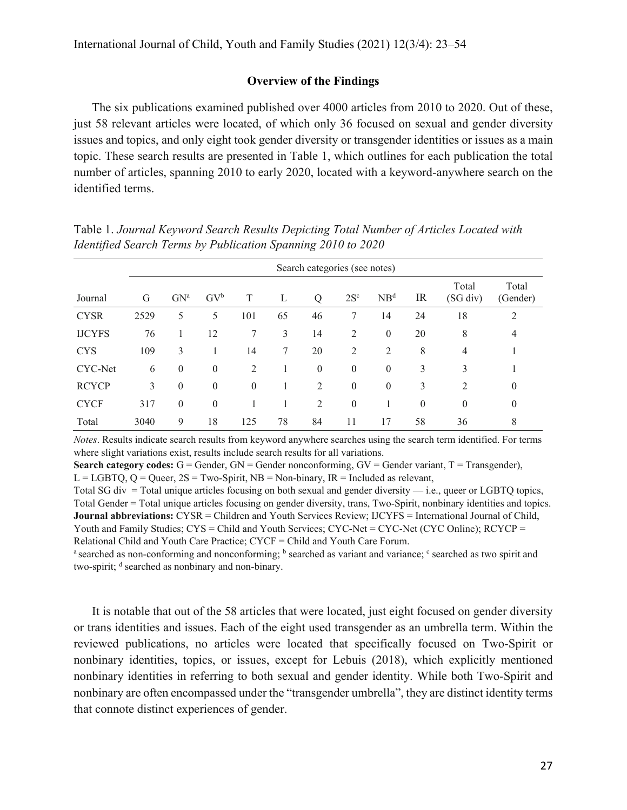## **Overview of the Findings**

The six publications examined published over 4000 articles from 2010 to 2020. Out of these, just 58 relevant articles were located, of which only 36 focused on sexual and gender diversity issues and topics, and only eight took gender diversity or transgender identities or issues as a main topic. These search results are presented in Table 1, which outlines for each publication the total number of articles, spanning 2010 to early 2020, located with a keyword-anywhere search on the identified terms.

| Journal       | Search categories (see notes) |              |                |          |    |              |              |                 |          |                   |                   |
|---------------|-------------------------------|--------------|----------------|----------|----|--------------|--------------|-----------------|----------|-------------------|-------------------|
|               | G                             | $GN^a$       | $\rm GV^b$     | T        | L  | Q            | $2S^c$       | NB <sup>d</sup> | IR       | Total<br>(SG div) | Total<br>(Gender) |
| <b>CYSR</b>   | 2529                          | 5            | 5              | 101      | 65 | 46           | 7            | 14              | 24       | 18                | 2                 |
| <b>IJCYFS</b> | 76                            |              | 12             | 7        | 3  | 14           | 2            | $\overline{0}$  | 20       | 8                 | 4                 |
| <b>CYS</b>    | 109                           | 3            |                | 14       | 7  | 20           | 2            | 2               | 8        | 4                 |                   |
| CYC-Net       | 6                             | $\mathbf{0}$ | $\overline{0}$ | 2        |    | $\mathbf{0}$ | $\mathbf{0}$ | $\overline{0}$  | 3        | 3                 |                   |
| <b>RCYCP</b>  | 3                             | $\mathbf{0}$ | $\overline{0}$ | $\theta$ |    | 2            | $\mathbf{0}$ | $\mathbf{0}$    | 3        | 2                 | $\boldsymbol{0}$  |
| <b>CYCF</b>   | 317                           | $\mathbf{0}$ | $\overline{0}$ |          |    | 2            | $\mathbf{0}$ |                 | $\theta$ | $\theta$          | $\boldsymbol{0}$  |
| Total         | 3040                          | 9            | 18             | 125      | 78 | 84           | 11           | 17              | 58       | 36                | 8                 |

Table 1. *Journal Keyword Search Results Depicting Total Number of Articles Located with Identified Search Terms by Publication Spanning 2010 to 2020*

*Notes*. Results indicate search results from keyword anywhere searches using the search term identified. For terms where slight variations exist, results include search results for all variations.

**Search category codes:** G = Gender, GN = Gender nonconforming, GV = Gender variant, T = Transgender),  $L = LGBTQ$ ,  $Q = Queer$ ,  $2S = Two-Spirit$ ,  $NB = Non-binary$ ,  $IR = Included$  as relevant,

Total SG div = Total unique articles focusing on both sexual and gender diversity — i.e., queer or LGBTQ topics, Total Gender = Total unique articles focusing on gender diversity, trans, Two-Spirit, nonbinary identities and topics. **Journal abbreviations:** CYSR = Children and Youth Services Review; IJCYFS = International Journal of Child, Youth and Family Studies;  $CYS = Child$  and Youth Services;  $CYC-Net = CYC-Net$  (CYC Online);  $RCYP =$ 

Relational Child and Youth Care Practice; CYCF = Child and Youth Care Forum.<br><sup>a</sup> searched as non-conforming and nonconforming; <sup>b</sup> searched as variant and variance; <sup>c</sup> searched as two spirit and two-spirit; <sup>d</sup> searched as nonbinary and non-binary.

It is notable that out of the 58 articles that were located, just eight focused on gender diversity or trans identities and issues. Each of the eight used transgender as an umbrella term. Within the reviewed publications, no articles were located that specifically focused on Two-Spirit or nonbinary identities, topics, or issues, except for Lebuis (2018), which explicitly mentioned nonbinary identities in referring to both sexual and gender identity. While both Two-Spirit and nonbinary are often encompassed under the "transgender umbrella", they are distinct identity terms that connote distinct experiences of gender.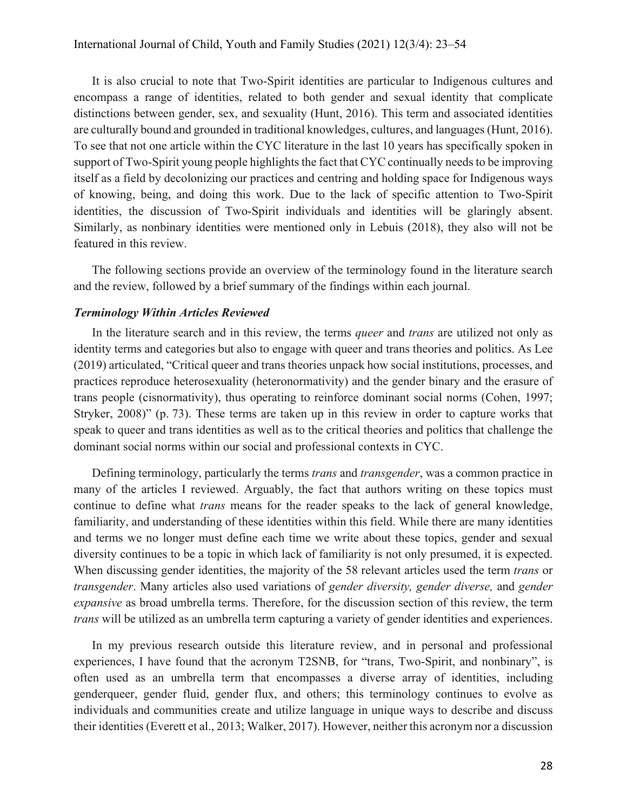It is also crucial to note that Two-Spirit identities are particular to Indigenous cultures and encompass a range of identities, related to both gender and sexual identity that complicate distinctions between gender, sex, and sexuality (Hunt, 2016). This term and associated identities are culturally bound and grounded in traditional knowledges, cultures, and languages (Hunt, 2016). To see that not one article within the CYC literature in the last 10 years has specifically spoken in support of Two-Spirit young people highlights the fact that CYC continually needs to be improving itself as a field by decolonizing our practices and centring and holding space for Indigenous ways of knowing, being, and doing this work. Due to the lack of specific attention to Two-Spirit identities, the discussion of Two-Spirit individuals and identities will be glaringly absent. Similarly, as nonbinary identities were mentioned only in Lebuis (2018), they also will not be featured in this review.

The following sections provide an overview of the terminology found in the literature search and the review, followed by a brief summary of the findings within each journal.

# *Terminology Within Articles Reviewed*

In the literature search and in this review, the terms *queer* and *trans* are utilized not only as identity terms and categories but also to engage with queer and trans theories and politics. As Lee (2019) articulated, "Critical queer and trans theories unpack how social institutions, processes, and practices reproduce heterosexuality (heteronormativity) and the gender binary and the erasure of trans people (cisnormativity), thus operating to reinforce dominant social norms (Cohen, 1997; Stryker, 2008)" (p. 73). These terms are taken up in this review in order to capture works that speak to queer and trans identities as well as to the critical theories and politics that challenge the dominant social norms within our social and professional contexts in CYC.

Defining terminology, particularly the terms *trans* and *transgender*, was a common practice in many of the articles I reviewed. Arguably, the fact that authors writing on these topics must continue to define what *trans* means for the reader speaks to the lack of general knowledge, familiarity, and understanding of these identities within this field. While there are many identities and terms we no longer must define each time we write about these topics, gender and sexual diversity continues to be a topic in which lack of familiarity is not only presumed, it is expected. When discussing gender identities, the majority of the 58 relevant articles used the term *trans* or *transgender*. Many articles also used variations of *gender diversity, gender diverse,* and *gender expansive* as broad umbrella terms. Therefore, for the discussion section of this review, the term *trans* will be utilized as an umbrella term capturing a variety of gender identities and experiences.

In my previous research outside this literature review, and in personal and professional experiences, I have found that the acronym T2SNB, for "trans, Two-Spirit, and nonbinary", is often used as an umbrella term that encompasses a diverse array of identities, including genderqueer, gender fluid, gender flux, and others; this terminology continues to evolve as individuals and communities create and utilize language in unique ways to describe and discuss their identities (Everett et al., 2013; Walker, 2017). However, neither this acronym nor a discussion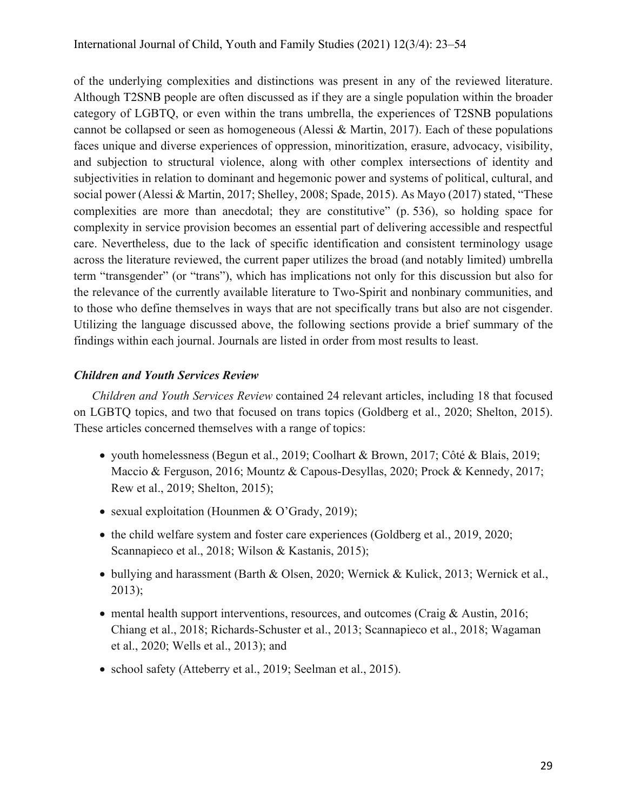of the underlying complexities and distinctions was present in any of the reviewed literature. Although T2SNB people are often discussed as if they are a single population within the broader category of LGBTQ, or even within the trans umbrella, the experiences of T2SNB populations cannot be collapsed or seen as homogeneous (Alessi & Martin, 2017). Each of these populations faces unique and diverse experiences of oppression, minoritization, erasure, advocacy, visibility, and subjection to structural violence, along with other complex intersections of identity and subjectivities in relation to dominant and hegemonic power and systems of political, cultural, and social power (Alessi & Martin, 2017; Shelley, 2008; Spade, 2015). As Mayo (2017) stated, "These complexities are more than anecdotal; they are constitutive" (p. 536), so holding space for complexity in service provision becomes an essential part of delivering accessible and respectful care. Nevertheless, due to the lack of specific identification and consistent terminology usage across the literature reviewed, the current paper utilizes the broad (and notably limited) umbrella term "transgender" (or "trans"), which has implications not only for this discussion but also for the relevance of the currently available literature to Two-Spirit and nonbinary communities, and to those who define themselves in ways that are not specifically trans but also are not cisgender. Utilizing the language discussed above, the following sections provide a brief summary of the findings within each journal. Journals are listed in order from most results to least.

# *Children and Youth Services Review*

*Children and Youth Services Review* contained 24 relevant articles, including 18 that focused on LGBTQ topics, and two that focused on trans topics (Goldberg et al., 2020; Shelton, 2015). These articles concerned themselves with a range of topics:

- youth homelessness (Begun et al., 2019; Coolhart & Brown, 2017; Côté & Blais, 2019; Maccio & Ferguson, 2016; Mountz & Capous-Desyllas, 2020; Prock & Kennedy, 2017; Rew et al., 2019; Shelton, 2015);
- sexual exploitation (Hounmen & O'Grady, 2019);
- the child welfare system and foster care experiences (Goldberg et al., 2019, 2020; Scannapieco et al., 2018; Wilson & Kastanis, 2015);
- bullying and harassment (Barth & Olsen, 2020; Wernick & Kulick, 2013; Wernick et al., 2013);
- mental health support interventions, resources, and outcomes (Craig & Austin, 2016; Chiang et al., 2018; Richards-Schuster et al., 2013; Scannapieco et al., 2018; Wagaman et al., 2020; Wells et al., 2013); and
- school safety (Atteberry et al., 2019; Seelman et al., 2015).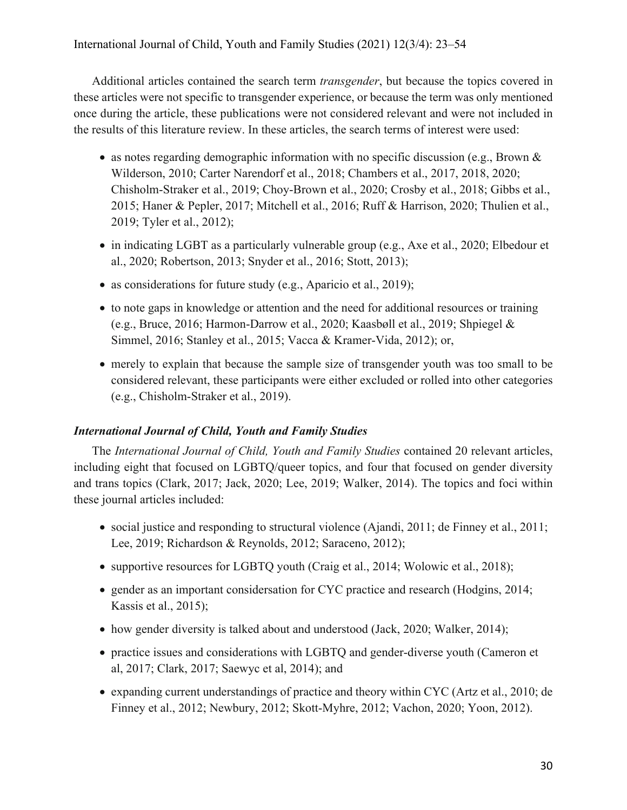Additional articles contained the search term *transgender*, but because the topics covered in these articles were not specific to transgender experience, or because the term was only mentioned once during the article, these publications were not considered relevant and were not included in the results of this literature review. In these articles, the search terms of interest were used:

- as notes regarding demographic information with no specific discussion (e.g., Brown  $\&$ Wilderson, 2010; Carter Narendorf et al., 2018; Chambers et al., 2017, 2018, 2020; Chisholm-Straker et al., 2019; Choy-Brown et al., 2020; Crosby et al., 2018; Gibbs et al., 2015; Haner & Pepler, 2017; Mitchell et al., 2016; Ruff & Harrison, 2020; Thulien et al., 2019; Tyler et al., 2012);
- in indicating LGBT as a particularly vulnerable group (e.g., Axe et al., 2020; Elbedour et al., 2020; Robertson, 2013; Snyder et al., 2016; Stott, 2013);
- as considerations for future study (e.g., Aparicio et al., 2019);
- to note gaps in knowledge or attention and the need for additional resources or training (e.g., Bruce, 2016; Harmon-Darrow et al., 2020; Kaasbøll et al., 2019; Shpiegel & Simmel, 2016; Stanley et al., 2015; Vacca & Kramer-Vida, 2012); or,
- merely to explain that because the sample size of transgender youth was too small to be considered relevant, these participants were either excluded or rolled into other categories (e.g., Chisholm-Straker et al., 2019).

# *International Journal of Child, Youth and Family Studies*

The *International Journal of Child, Youth and Family Studies* contained 20 relevant articles, including eight that focused on LGBTQ/queer topics, and four that focused on gender diversity and trans topics (Clark, 2017; Jack, 2020; Lee, 2019; Walker, 2014). The topics and foci within these journal articles included:

- social justice and responding to structural violence (Ajandi, 2011; de Finney et al., 2011; Lee, 2019; Richardson & Reynolds, 2012; Saraceno, 2012);
- supportive resources for LGBTQ youth (Craig et al., 2014; Wolowic et al., 2018);
- gender as an important considersation for CYC practice and research (Hodgins, 2014; Kassis et al., 2015);
- how gender diversity is talked about and understood (Jack, 2020; Walker, 2014);
- practice issues and considerations with LGBTQ and gender-diverse youth (Cameron et al, 2017; Clark, 2017; Saewyc et al, 2014); and
- expanding current understandings of practice and theory within CYC (Artz et al., 2010; de Finney et al., 2012; Newbury, 2012; Skott-Myhre, 2012; Vachon, 2020; Yoon, 2012).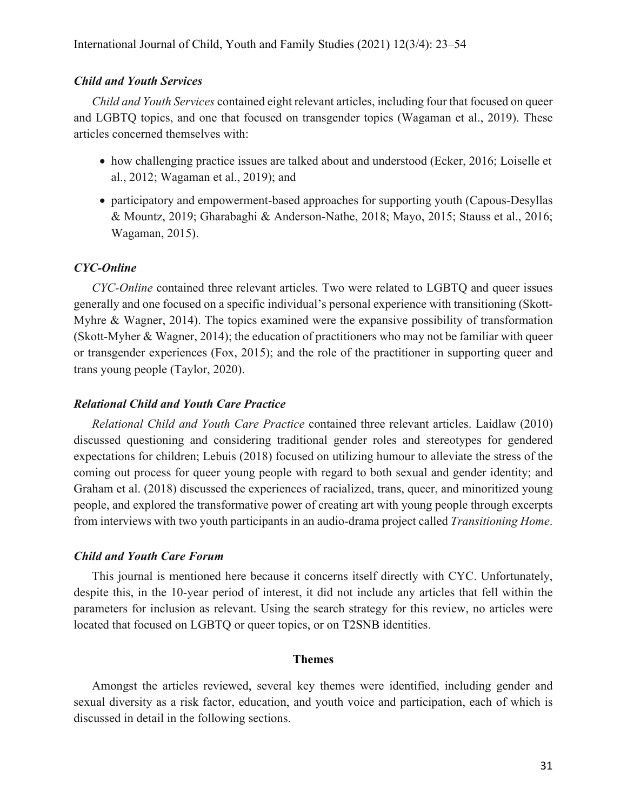## *Child and Youth Services*

*Child and Youth Services* contained eight relevant articles, including four that focused on queer and LGBTQ topics, and one that focused on transgender topics (Wagaman et al., 2019). These articles concerned themselves with:

- how challenging practice issues are talked about and understood (Ecker, 2016; Loiselle et al., 2012; Wagaman et al., 2019); and
- participatory and empowerment-based approaches for supporting youth (Capous-Desyllas & Mountz, 2019; Gharabaghi & Anderson-Nathe, 2018; Mayo, 2015; Stauss et al., 2016; Wagaman, 2015).

#### *CYC-Online*

*CYC-Online* contained three relevant articles. Two were related to LGBTQ and queer issues generally and one focused on a specific individual's personal experience with transitioning (Skott-Myhre & Wagner, 2014). The topics examined were the expansive possibility of transformation (Skott-Myher & Wagner, 2014); the education of practitioners who may not be familiar with queer or transgender experiences (Fox, 2015); and the role of the practitioner in supporting queer and trans young people (Taylor, 2020).

#### *Relational Child and Youth Care Practice*

*Relational Child and Youth Care Practice* contained three relevant articles. Laidlaw (2010) discussed questioning and considering traditional gender roles and stereotypes for gendered expectations for children; Lebuis (2018) focused on utilizing humour to alleviate the stress of the coming out process for queer young people with regard to both sexual and gender identity; and Graham et al. (2018) discussed the experiences of racialized, trans, queer, and minoritized young people, and explored the transformative power of creating art with young people through excerpts from interviews with two youth participants in an audio-drama project called *Transitioning Home*.

#### *Child and Youth Care Forum*

This journal is mentioned here because it concerns itself directly with CYC. Unfortunately, despite this, in the 10-year period of interest, it did not include any articles that fell within the parameters for inclusion as relevant. Using the search strategy for this review, no articles were located that focused on LGBTQ or queer topics, or on T2SNB identities.

#### **Themes**

Amongst the articles reviewed, several key themes were identified, including gender and sexual diversity as a risk factor, education, and youth voice and participation, each of which is discussed in detail in the following sections.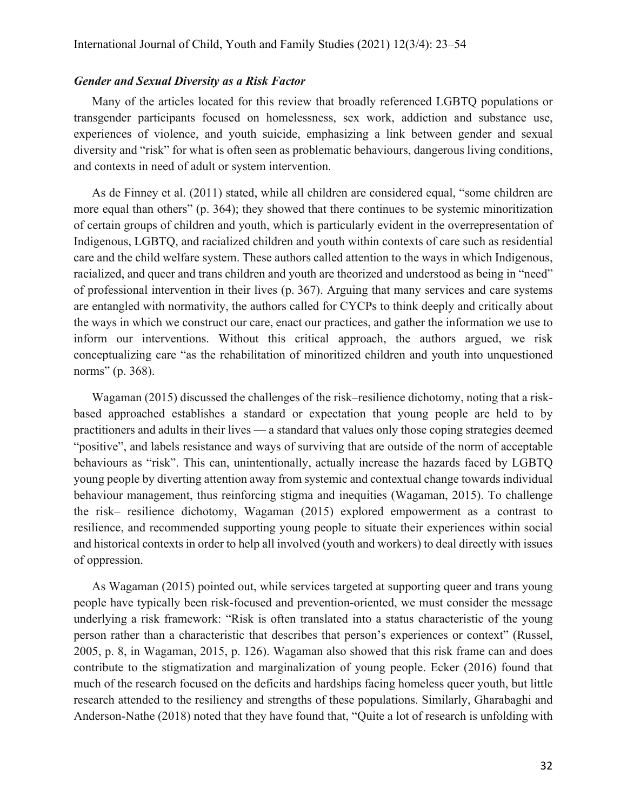#### *Gender and Sexual Diversity as a Risk Factor*

Many of the articles located for this review that broadly referenced LGBTQ populations or transgender participants focused on homelessness, sex work, addiction and substance use, experiences of violence, and youth suicide, emphasizing a link between gender and sexual diversity and "risk" for what is often seen as problematic behaviours, dangerous living conditions, and contexts in need of adult or system intervention.

As de Finney et al. (2011) stated, while all children are considered equal, "some children are more equal than others" (p. 364); they showed that there continues to be systemic minoritization of certain groups of children and youth, which is particularly evident in the overrepresentation of Indigenous, LGBTQ, and racialized children and youth within contexts of care such as residential care and the child welfare system. These authors called attention to the ways in which Indigenous, racialized, and queer and trans children and youth are theorized and understood as being in "need" of professional intervention in their lives (p. 367). Arguing that many services and care systems are entangled with normativity, the authors called for CYCPs to think deeply and critically about the ways in which we construct our care, enact our practices, and gather the information we use to inform our interventions. Without this critical approach, the authors argued, we risk conceptualizing care "as the rehabilitation of minoritized children and youth into unquestioned norms" (p. 368).

Wagaman (2015) discussed the challenges of the risk–resilience dichotomy, noting that a riskbased approached establishes a standard or expectation that young people are held to by practitioners and adults in their lives — a standard that values only those coping strategies deemed "positive", and labels resistance and ways of surviving that are outside of the norm of acceptable behaviours as "risk". This can, unintentionally, actually increase the hazards faced by LGBTQ young people by diverting attention away from systemic and contextual change towards individual behaviour management, thus reinforcing stigma and inequities (Wagaman, 2015). To challenge the risk– resilience dichotomy, Wagaman (2015) explored empowerment as a contrast to resilience, and recommended supporting young people to situate their experiences within social and historical contexts in order to help all involved (youth and workers) to deal directly with issues of oppression.

As Wagaman (2015) pointed out, while services targeted at supporting queer and trans young people have typically been risk-focused and prevention-oriented, we must consider the message underlying a risk framework: "Risk is often translated into a status characteristic of the young person rather than a characteristic that describes that person's experiences or context" (Russel, 2005, p. 8, in Wagaman, 2015, p. 126). Wagaman also showed that this risk frame can and does contribute to the stigmatization and marginalization of young people. Ecker (2016) found that much of the research focused on the deficits and hardships facing homeless queer youth, but little research attended to the resiliency and strengths of these populations. Similarly, Gharabaghi and Anderson-Nathe (2018) noted that they have found that, "Quite a lot of research is unfolding with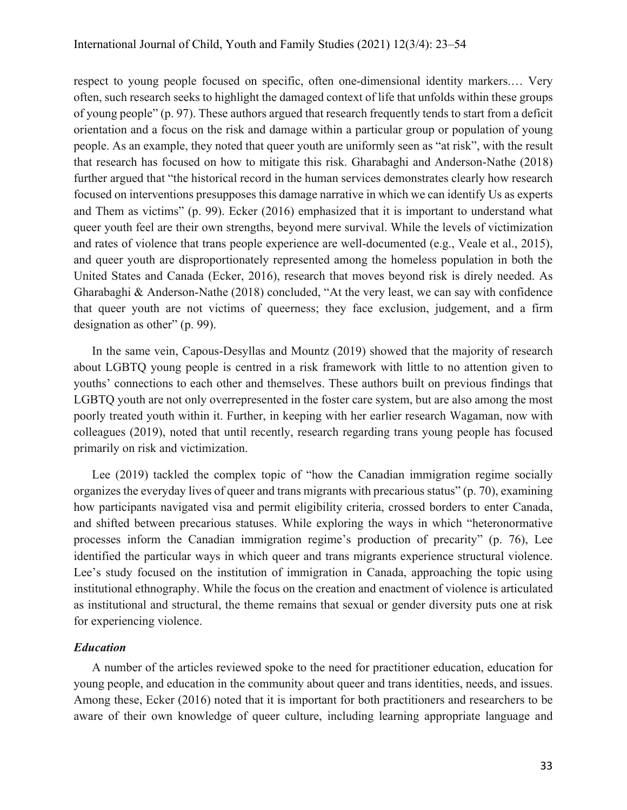respect to young people focused on specific, often one-dimensional identity markers.… Very often, such research seeks to highlight the damaged context of life that unfolds within these groups of young people" (p. 97). These authors argued that research frequently tends to start from a deficit orientation and a focus on the risk and damage within a particular group or population of young people. As an example, they noted that queer youth are uniformly seen as "at risk", with the result that research has focused on how to mitigate this risk. Gharabaghi and Anderson-Nathe (2018) further argued that "the historical record in the human services demonstrates clearly how research focused on interventions presupposes this damage narrative in which we can identify Us as experts and Them as victims" (p. 99). Ecker (2016) emphasized that it is important to understand what queer youth feel are their own strengths, beyond mere survival. While the levels of victimization and rates of violence that trans people experience are well-documented (e.g., Veale et al., 2015), and queer youth are disproportionately represented among the homeless population in both the United States and Canada (Ecker, 2016), research that moves beyond risk is direly needed. As Gharabaghi & Anderson-Nathe (2018) concluded, "At the very least, we can say with confidence that queer youth are not victims of queerness; they face exclusion, judgement, and a firm designation as other" (p. 99).

In the same vein, Capous-Desyllas and Mountz (2019) showed that the majority of research about LGBTQ young people is centred in a risk framework with little to no attention given to youths' connections to each other and themselves. These authors built on previous findings that LGBTQ youth are not only overrepresented in the foster care system, but are also among the most poorly treated youth within it. Further, in keeping with her earlier research Wagaman, now with colleagues (2019), noted that until recently, research regarding trans young people has focused primarily on risk and victimization.

Lee (2019) tackled the complex topic of "how the Canadian immigration regime socially organizes the everyday lives of queer and trans migrants with precarious status" (p. 70), examining how participants navigated visa and permit eligibility criteria, crossed borders to enter Canada, and shifted between precarious statuses. While exploring the ways in which "heteronormative processes inform the Canadian immigration regime's production of precarity" (p. 76), Lee identified the particular ways in which queer and trans migrants experience structural violence. Lee's study focused on the institution of immigration in Canada, approaching the topic using institutional ethnography. While the focus on the creation and enactment of violence is articulated as institutional and structural, the theme remains that sexual or gender diversity puts one at risk for experiencing violence.

# *Education*

A number of the articles reviewed spoke to the need for practitioner education, education for young people, and education in the community about queer and trans identities, needs, and issues. Among these, Ecker (2016) noted that it is important for both practitioners and researchers to be aware of their own knowledge of queer culture, including learning appropriate language and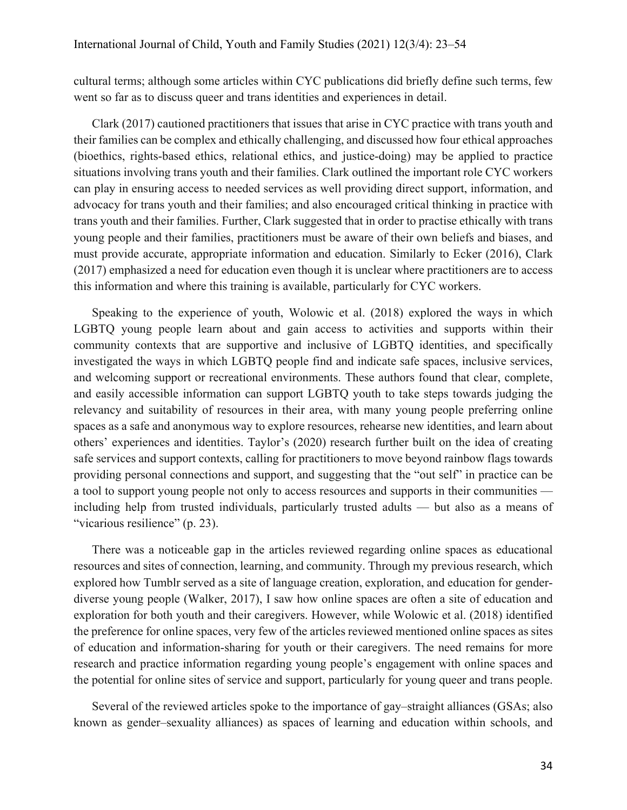cultural terms; although some articles within CYC publications did briefly define such terms, few went so far as to discuss queer and trans identities and experiences in detail.

Clark (2017) cautioned practitioners that issues that arise in CYC practice with trans youth and their families can be complex and ethically challenging, and discussed how four ethical approaches (bioethics, rights-based ethics, relational ethics, and justice-doing) may be applied to practice situations involving trans youth and their families. Clark outlined the important role CYC workers can play in ensuring access to needed services as well providing direct support, information, and advocacy for trans youth and their families; and also encouraged critical thinking in practice with trans youth and their families. Further, Clark suggested that in order to practise ethically with trans young people and their families, practitioners must be aware of their own beliefs and biases, and must provide accurate, appropriate information and education. Similarly to Ecker (2016), Clark (2017) emphasized a need for education even though it is unclear where practitioners are to access this information and where this training is available, particularly for CYC workers.

Speaking to the experience of youth, Wolowic et al. (2018) explored the ways in which LGBTQ young people learn about and gain access to activities and supports within their community contexts that are supportive and inclusive of LGBTQ identities, and specifically investigated the ways in which LGBTQ people find and indicate safe spaces, inclusive services, and welcoming support or recreational environments. These authors found that clear, complete, and easily accessible information can support LGBTQ youth to take steps towards judging the relevancy and suitability of resources in their area, with many young people preferring online spaces as a safe and anonymous way to explore resources, rehearse new identities, and learn about others' experiences and identities. Taylor's (2020) research further built on the idea of creating safe services and support contexts, calling for practitioners to move beyond rainbow flags towards providing personal connections and support, and suggesting that the "out self" in practice can be a tool to support young people not only to access resources and supports in their communities including help from trusted individuals, particularly trusted adults — but also as a means of "vicarious resilience" (p. 23).

There was a noticeable gap in the articles reviewed regarding online spaces as educational resources and sites of connection, learning, and community. Through my previous research, which explored how Tumblr served as a site of language creation, exploration, and education for genderdiverse young people (Walker, 2017), I saw how online spaces are often a site of education and exploration for both youth and their caregivers. However, while Wolowic et al. (2018) identified the preference for online spaces, very few of the articles reviewed mentioned online spaces as sites of education and information-sharing for youth or their caregivers. The need remains for more research and practice information regarding young people's engagement with online spaces and the potential for online sites of service and support, particularly for young queer and trans people.

Several of the reviewed articles spoke to the importance of gay–straight alliances (GSAs; also known as gender–sexuality alliances) as spaces of learning and education within schools, and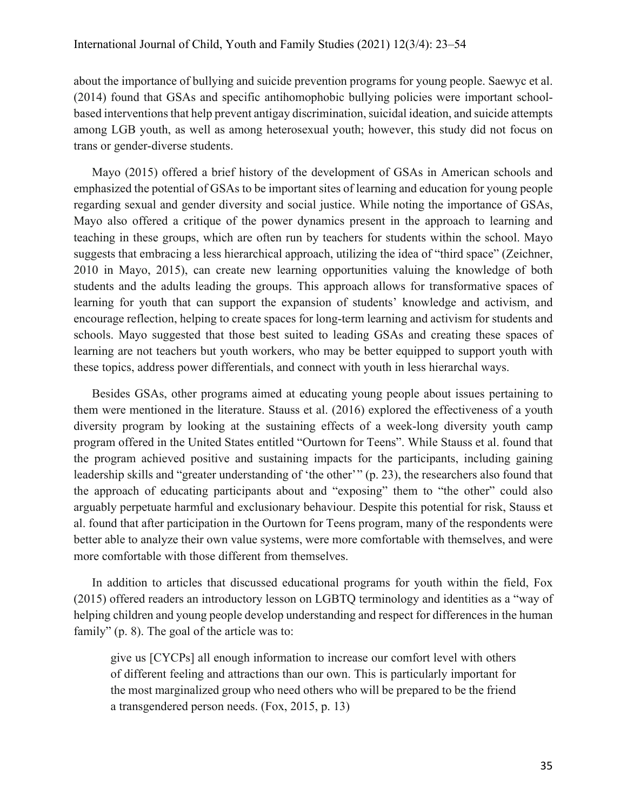about the importance of bullying and suicide prevention programs for young people. Saewyc et al. (2014) found that GSAs and specific antihomophobic bullying policies were important schoolbased interventions that help prevent antigay discrimination, suicidal ideation, and suicide attempts among LGB youth, as well as among heterosexual youth; however, this study did not focus on trans or gender-diverse students.

Mayo (2015) offered a brief history of the development of GSAs in American schools and emphasized the potential of GSAs to be important sites of learning and education for young people regarding sexual and gender diversity and social justice. While noting the importance of GSAs, Mayo also offered a critique of the power dynamics present in the approach to learning and teaching in these groups, which are often run by teachers for students within the school. Mayo suggests that embracing a less hierarchical approach, utilizing the idea of "third space" (Zeichner, 2010 in Mayo, 2015), can create new learning opportunities valuing the knowledge of both students and the adults leading the groups. This approach allows for transformative spaces of learning for youth that can support the expansion of students' knowledge and activism, and encourage reflection, helping to create spaces for long-term learning and activism for students and schools. Mayo suggested that those best suited to leading GSAs and creating these spaces of learning are not teachers but youth workers, who may be better equipped to support youth with these topics, address power differentials, and connect with youth in less hierarchal ways.

Besides GSAs, other programs aimed at educating young people about issues pertaining to them were mentioned in the literature. Stauss et al. (2016) explored the effectiveness of a youth diversity program by looking at the sustaining effects of a week-long diversity youth camp program offered in the United States entitled "Ourtown for Teens". While Stauss et al. found that the program achieved positive and sustaining impacts for the participants, including gaining leadership skills and "greater understanding of 'the other'" (p. 23), the researchers also found that the approach of educating participants about and "exposing" them to "the other" could also arguably perpetuate harmful and exclusionary behaviour. Despite this potential for risk, Stauss et al. found that after participation in the Ourtown for Teens program, many of the respondents were better able to analyze their own value systems, were more comfortable with themselves, and were more comfortable with those different from themselves.

In addition to articles that discussed educational programs for youth within the field, Fox (2015) offered readers an introductory lesson on LGBTQ terminology and identities as a "way of helping children and young people develop understanding and respect for differences in the human family" (p. 8). The goal of the article was to:

give us [CYCPs] all enough information to increase our comfort level with others of different feeling and attractions than our own. This is particularly important for the most marginalized group who need others who will be prepared to be the friend a transgendered person needs. (Fox, 2015, p. 13)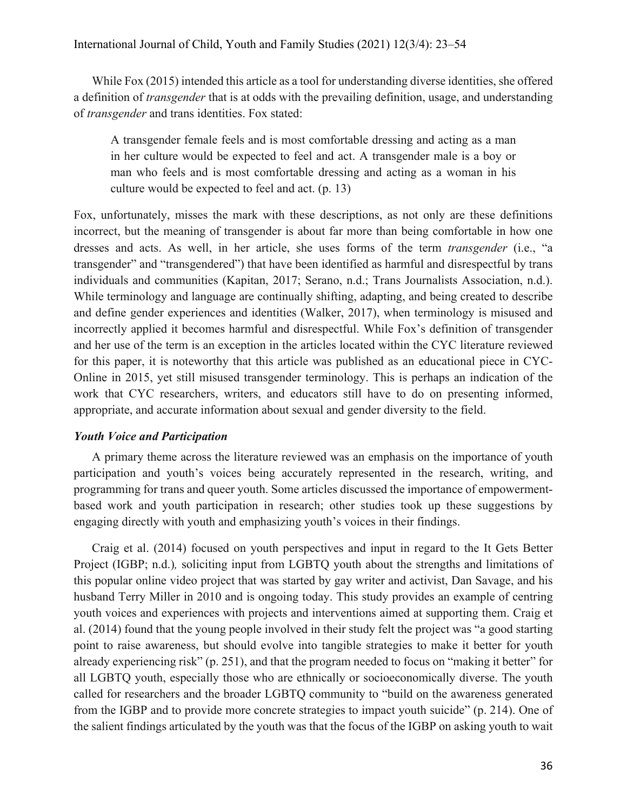While Fox (2015) intended this article as a tool for understanding diverse identities, she offered a definition of *transgender* that is at odds with the prevailing definition, usage, and understanding of *transgender* and trans identities. Fox stated:

A transgender female feels and is most comfortable dressing and acting as a man in her culture would be expected to feel and act. A transgender male is a boy or man who feels and is most comfortable dressing and acting as a woman in his culture would be expected to feel and act. (p. 13)

Fox, unfortunately, misses the mark with these descriptions, as not only are these definitions incorrect, but the meaning of transgender is about far more than being comfortable in how one dresses and acts. As well, in her article, she uses forms of the term *transgender* (i.e., "a transgender" and "transgendered") that have been identified as harmful and disrespectful by trans individuals and communities (Kapitan, 2017; Serano, n.d.; Trans Journalists Association, n.d.). While terminology and language are continually shifting, adapting, and being created to describe and define gender experiences and identities (Walker, 2017), when terminology is misused and incorrectly applied it becomes harmful and disrespectful. While Fox's definition of transgender and her use of the term is an exception in the articles located within the CYC literature reviewed for this paper, it is noteworthy that this article was published as an educational piece in CYC-Online in 2015, yet still misused transgender terminology. This is perhaps an indication of the work that CYC researchers, writers, and educators still have to do on presenting informed, appropriate, and accurate information about sexual and gender diversity to the field.

# *Youth Voice and Participation*

A primary theme across the literature reviewed was an emphasis on the importance of youth participation and youth's voices being accurately represented in the research, writing, and programming for trans and queer youth. Some articles discussed the importance of empowermentbased work and youth participation in research; other studies took up these suggestions by engaging directly with youth and emphasizing youth's voices in their findings.

Craig et al. (2014) focused on youth perspectives and input in regard to the It Gets Better Project (IGBP; n.d.)*,* soliciting input from LGBTQ youth about the strengths and limitations of this popular online video project that was started by gay writer and activist, Dan Savage, and his husband Terry Miller in 2010 and is ongoing today. This study provides an example of centring youth voices and experiences with projects and interventions aimed at supporting them. Craig et al. (2014) found that the young people involved in their study felt the project was "a good starting point to raise awareness, but should evolve into tangible strategies to make it better for youth already experiencing risk" (p. 251), and that the program needed to focus on "making it better" for all LGBTQ youth, especially those who are ethnically or socioeconomically diverse. The youth called for researchers and the broader LGBTQ community to "build on the awareness generated from the IGBP and to provide more concrete strategies to impact youth suicide" (p. 214). One of the salient findings articulated by the youth was that the focus of the IGBP on asking youth to wait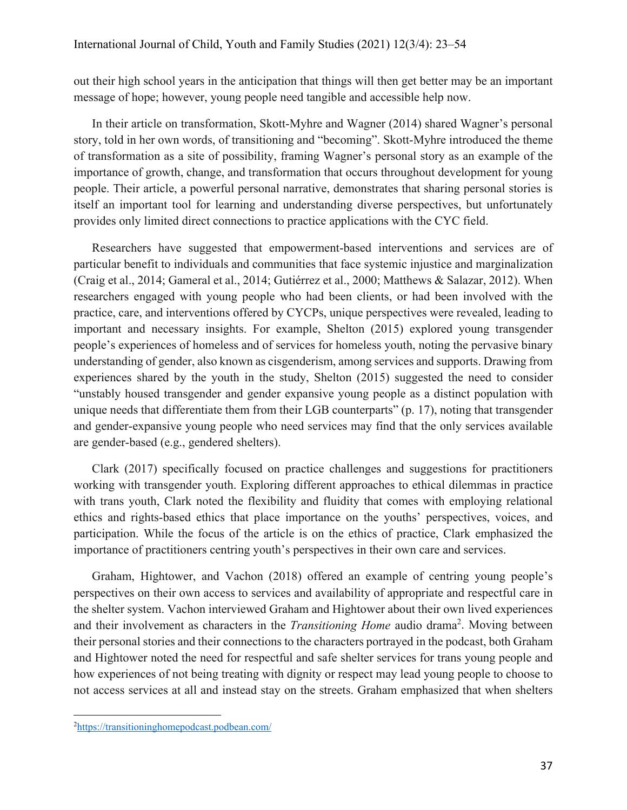out their high school years in the anticipation that things will then get better may be an important message of hope; however, young people need tangible and accessible help now.

In their article on transformation, Skott-Myhre and Wagner (2014) shared Wagner's personal story, told in her own words, of transitioning and "becoming". Skott-Myhre introduced the theme of transformation as a site of possibility, framing Wagner's personal story as an example of the importance of growth, change, and transformation that occurs throughout development for young people. Their article, a powerful personal narrative, demonstrates that sharing personal stories is itself an important tool for learning and understanding diverse perspectives, but unfortunately provides only limited direct connections to practice applications with the CYC field.

Researchers have suggested that empowerment-based interventions and services are of particular benefit to individuals and communities that face systemic injustice and marginalization (Craig et al., 2014; Gameral et al., 2014; Gutiérrez et al., 2000; Matthews & Salazar, 2012). When researchers engaged with young people who had been clients, or had been involved with the practice, care, and interventions offered by CYCPs, unique perspectives were revealed, leading to important and necessary insights. For example, Shelton (2015) explored young transgender people's experiences of homeless and of services for homeless youth, noting the pervasive binary understanding of gender, also known as cisgenderism, among services and supports. Drawing from experiences shared by the youth in the study, Shelton (2015) suggested the need to consider "unstably housed transgender and gender expansive young people as a distinct population with unique needs that differentiate them from their LGB counterparts" (p. 17), noting that transgender and gender-expansive young people who need services may find that the only services available are gender-based (e.g., gendered shelters).

Clark (2017) specifically focused on practice challenges and suggestions for practitioners working with transgender youth. Exploring different approaches to ethical dilemmas in practice with trans youth, Clark noted the flexibility and fluidity that comes with employing relational ethics and rights-based ethics that place importance on the youths' perspectives, voices, and participation. While the focus of the article is on the ethics of practice, Clark emphasized the importance of practitioners centring youth's perspectives in their own care and services.

Graham, Hightower, and Vachon (2018) offered an example of centring young people's perspectives on their own access to services and availability of appropriate and respectful care in the shelter system. Vachon interviewed Graham and Hightower about their own lived experiences and their involvement as characters in the *Transitioning Home* audio drama<sup>2</sup>. Moving between their personal stories and their connections to the characters portrayed in the podcast, both Graham and Hightower noted the need for respectful and safe shelter services for trans young people and how experiences of not being treating with dignity or respect may lead young people to choose to not access services at all and instead stay on the streets. Graham emphasized that when shelters

<sup>&</sup>lt;sup>2</sup>https://transitioninghomepodcast.podbean.com/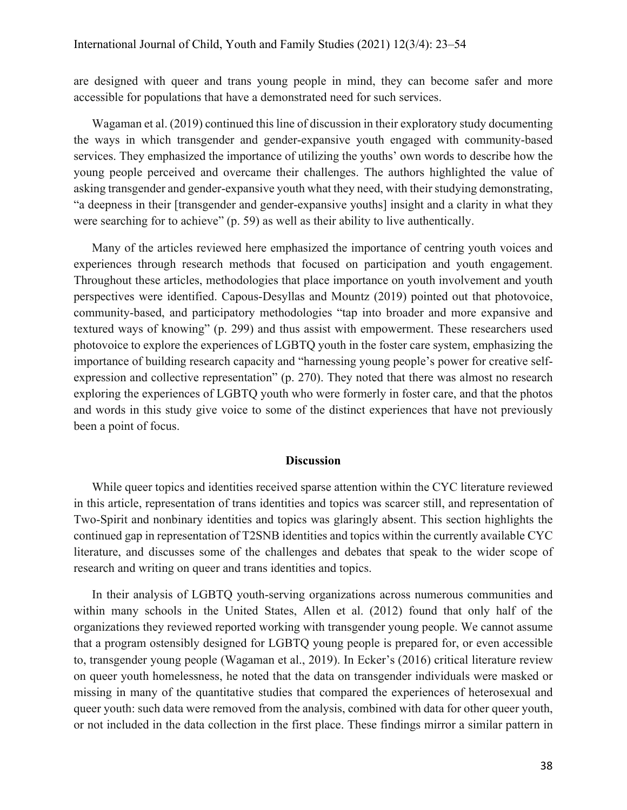are designed with queer and trans young people in mind, they can become safer and more accessible for populations that have a demonstrated need for such services.

Wagaman et al. (2019) continued this line of discussion in their exploratory study documenting the ways in which transgender and gender-expansive youth engaged with community-based services. They emphasized the importance of utilizing the youths' own words to describe how the young people perceived and overcame their challenges. The authors highlighted the value of asking transgender and gender-expansive youth what they need, with their studying demonstrating, "a deepness in their [transgender and gender-expansive youths] insight and a clarity in what they were searching for to achieve" (p. 59) as well as their ability to live authentically.

Many of the articles reviewed here emphasized the importance of centring youth voices and experiences through research methods that focused on participation and youth engagement. Throughout these articles, methodologies that place importance on youth involvement and youth perspectives were identified. Capous-Desyllas and Mountz (2019) pointed out that photovoice, community-based, and participatory methodologies "tap into broader and more expansive and textured ways of knowing" (p. 299) and thus assist with empowerment. These researchers used photovoice to explore the experiences of LGBTQ youth in the foster care system, emphasizing the importance of building research capacity and "harnessing young people's power for creative selfexpression and collective representation" (p. 270). They noted that there was almost no research exploring the experiences of LGBTQ youth who were formerly in foster care, and that the photos and words in this study give voice to some of the distinct experiences that have not previously been a point of focus.

#### **Discussion**

While queer topics and identities received sparse attention within the CYC literature reviewed in this article, representation of trans identities and topics was scarcer still, and representation of Two-Spirit and nonbinary identities and topics was glaringly absent. This section highlights the continued gap in representation of T2SNB identities and topics within the currently available CYC literature, and discusses some of the challenges and debates that speak to the wider scope of research and writing on queer and trans identities and topics.

In their analysis of LGBTQ youth-serving organizations across numerous communities and within many schools in the United States, Allen et al. (2012) found that only half of the organizations they reviewed reported working with transgender young people. We cannot assume that a program ostensibly designed for LGBTQ young people is prepared for, or even accessible to, transgender young people (Wagaman et al., 2019). In Ecker's (2016) critical literature review on queer youth homelessness, he noted that the data on transgender individuals were masked or missing in many of the quantitative studies that compared the experiences of heterosexual and queer youth: such data were removed from the analysis, combined with data for other queer youth, or not included in the data collection in the first place. These findings mirror a similar pattern in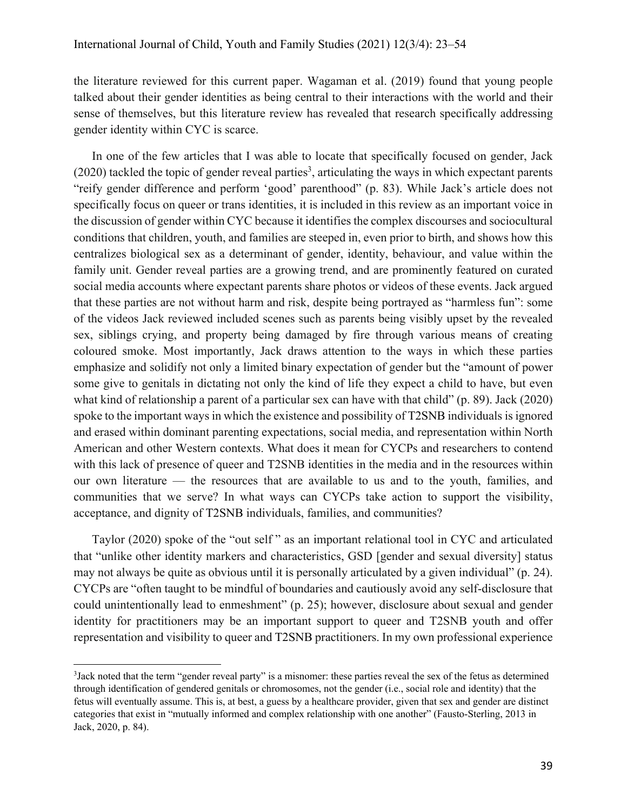the literature reviewed for this current paper. Wagaman et al. (2019) found that young people talked about their gender identities as being central to their interactions with the world and their sense of themselves, but this literature review has revealed that research specifically addressing gender identity within CYC is scarce.

In one of the few articles that I was able to locate that specifically focused on gender, Jack  $(2020)$  tackled the topic of gender reveal parties<sup>3</sup>, articulating the ways in which expectant parents "reify gender difference and perform 'good' parenthood" (p. 83). While Jack's article does not specifically focus on queer or trans identities, it is included in this review as an important voice in the discussion of gender within CYC because it identifies the complex discourses and sociocultural conditions that children, youth, and families are steeped in, even prior to birth, and shows how this centralizes biological sex as a determinant of gender, identity, behaviour, and value within the family unit. Gender reveal parties are a growing trend, and are prominently featured on curated social media accounts where expectant parents share photos or videos of these events. Jack argued that these parties are not without harm and risk, despite being portrayed as "harmless fun": some of the videos Jack reviewed included scenes such as parents being visibly upset by the revealed sex, siblings crying, and property being damaged by fire through various means of creating coloured smoke. Most importantly, Jack draws attention to the ways in which these parties emphasize and solidify not only a limited binary expectation of gender but the "amount of power some give to genitals in dictating not only the kind of life they expect a child to have, but even what kind of relationship a parent of a particular sex can have with that child" (p. 89). Jack (2020) spoke to the important ways in which the existence and possibility of T2SNB individuals is ignored and erased within dominant parenting expectations, social media, and representation within North American and other Western contexts. What does it mean for CYCPs and researchers to contend with this lack of presence of queer and T2SNB identities in the media and in the resources within our own literature — the resources that are available to us and to the youth, families, and communities that we serve? In what ways can CYCPs take action to support the visibility, acceptance, and dignity of T2SNB individuals, families, and communities?

Taylor (2020) spoke of the "out self " as an important relational tool in CYC and articulated that "unlike other identity markers and characteristics, GSD [gender and sexual diversity] status may not always be quite as obvious until it is personally articulated by a given individual" (p. 24). CYCPs are "often taught to be mindful of boundaries and cautiously avoid any self-disclosure that could unintentionally lead to enmeshment" (p. 25); however, disclosure about sexual and gender identity for practitioners may be an important support to queer and T2SNB youth and offer representation and visibility to queer and T2SNB practitioners. In my own professional experience

<sup>3</sup> Jack noted that the term "gender reveal party" is a misnomer: these parties reveal the sex of the fetus as determined through identification of gendered genitals or chromosomes, not the gender (i.e., social role and identity) that the fetus will eventually assume. This is, at best, a guess by a healthcare provider, given that sex and gender are distinct categories that exist in "mutually informed and complex relationship with one another" (Fausto-Sterling, 2013 in Jack, 2020, p. 84).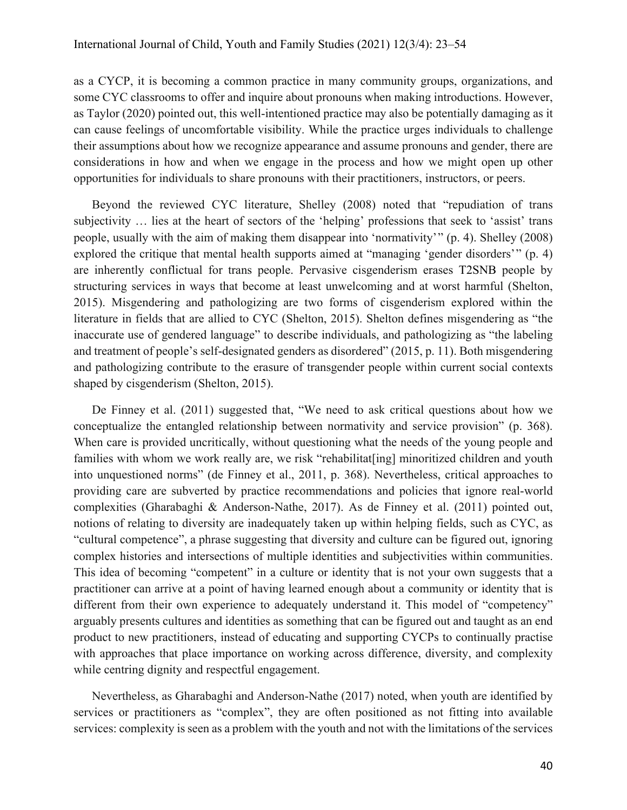as a CYCP, it is becoming a common practice in many community groups, organizations, and some CYC classrooms to offer and inquire about pronouns when making introductions. However, as Taylor (2020) pointed out, this well-intentioned practice may also be potentially damaging as it can cause feelings of uncomfortable visibility. While the practice urges individuals to challenge their assumptions about how we recognize appearance and assume pronouns and gender, there are considerations in how and when we engage in the process and how we might open up other opportunities for individuals to share pronouns with their practitioners, instructors, or peers.

Beyond the reviewed CYC literature, Shelley (2008) noted that "repudiation of trans subjectivity … lies at the heart of sectors of the 'helping' professions that seek to 'assist' trans people, usually with the aim of making them disappear into 'normativity' " (p. 4). Shelley (2008) explored the critique that mental health supports aimed at "managing 'gender disorders'" (p. 4) are inherently conflictual for trans people. Pervasive cisgenderism erases T2SNB people by structuring services in ways that become at least unwelcoming and at worst harmful (Shelton, 2015). Misgendering and pathologizing are two forms of cisgenderism explored within the literature in fields that are allied to CYC (Shelton, 2015). Shelton defines misgendering as "the inaccurate use of gendered language" to describe individuals, and pathologizing as "the labeling and treatment of people's self-designated genders as disordered" (2015, p. 11). Both misgendering and pathologizing contribute to the erasure of transgender people within current social contexts shaped by cisgenderism (Shelton, 2015).

De Finney et al. (2011) suggested that, "We need to ask critical questions about how we conceptualize the entangled relationship between normativity and service provision" (p. 368). When care is provided uncritically, without questioning what the needs of the young people and families with whom we work really are, we risk "rehabilitat[ing] minoritized children and youth into unquestioned norms" (de Finney et al., 2011, p. 368). Nevertheless, critical approaches to providing care are subverted by practice recommendations and policies that ignore real-world complexities (Gharabaghi & Anderson-Nathe, 2017). As de Finney et al. (2011) pointed out, notions of relating to diversity are inadequately taken up within helping fields, such as CYC, as "cultural competence", a phrase suggesting that diversity and culture can be figured out, ignoring complex histories and intersections of multiple identities and subjectivities within communities. This idea of becoming "competent" in a culture or identity that is not your own suggests that a practitioner can arrive at a point of having learned enough about a community or identity that is different from their own experience to adequately understand it. This model of "competency" arguably presents cultures and identities as something that can be figured out and taught as an end product to new practitioners, instead of educating and supporting CYCPs to continually practise with approaches that place importance on working across difference, diversity, and complexity while centring dignity and respectful engagement.

Nevertheless, as Gharabaghi and Anderson-Nathe (2017) noted, when youth are identified by services or practitioners as "complex", they are often positioned as not fitting into available services: complexity is seen as a problem with the youth and not with the limitations of the services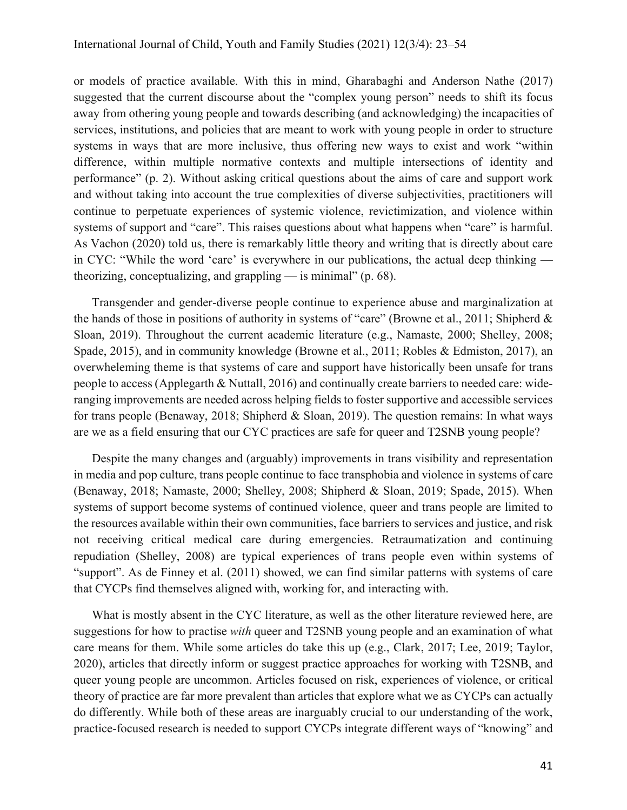or models of practice available. With this in mind, Gharabaghi and Anderson Nathe (2017) suggested that the current discourse about the "complex young person" needs to shift its focus away from othering young people and towards describing (and acknowledging) the incapacities of services, institutions, and policies that are meant to work with young people in order to structure systems in ways that are more inclusive, thus offering new ways to exist and work "within difference, within multiple normative contexts and multiple intersections of identity and performance" (p. 2). Without asking critical questions about the aims of care and support work and without taking into account the true complexities of diverse subjectivities, practitioners will continue to perpetuate experiences of systemic violence, revictimization, and violence within systems of support and "care". This raises questions about what happens when "care" is harmful. As Vachon (2020) told us, there is remarkably little theory and writing that is directly about care in CYC: "While the word 'care' is everywhere in our publications, the actual deep thinking theorizing, conceptualizing, and grappling  $-$  is minimal" (p. 68).

Transgender and gender-diverse people continue to experience abuse and marginalization at the hands of those in positions of authority in systems of "care" (Browne et al., 2011; Shipherd & Sloan, 2019). Throughout the current academic literature (e.g., Namaste, 2000; Shelley, 2008; Spade, 2015), and in community knowledge (Browne et al., 2011; Robles & Edmiston, 2017), an overwheleming theme is that systems of care and support have historically been unsafe for trans people to access (Applegarth & Nuttall, 2016) and continually create barriers to needed care: wideranging improvements are needed across helping fields to foster supportive and accessible services for trans people (Benaway, 2018; Shipherd & Sloan, 2019). The question remains: In what ways are we as a field ensuring that our CYC practices are safe for queer and T2SNB young people?

Despite the many changes and (arguably) improvements in trans visibility and representation in media and pop culture, trans people continue to face transphobia and violence in systems of care (Benaway, 2018; Namaste, 2000; Shelley, 2008; Shipherd & Sloan, 2019; Spade, 2015). When systems of support become systems of continued violence, queer and trans people are limited to the resources available within their own communities, face barriers to services and justice, and risk not receiving critical medical care during emergencies. Retraumatization and continuing repudiation (Shelley, 2008) are typical experiences of trans people even within systems of "support". As de Finney et al. (2011) showed, we can find similar patterns with systems of care that CYCPs find themselves aligned with, working for, and interacting with.

What is mostly absent in the CYC literature, as well as the other literature reviewed here, are suggestions for how to practise *with* queer and T2SNB young people and an examination of what care means for them. While some articles do take this up (e.g., Clark, 2017; Lee, 2019; Taylor, 2020), articles that directly inform or suggest practice approaches for working with T2SNB, and queer young people are uncommon. Articles focused on risk, experiences of violence, or critical theory of practice are far more prevalent than articles that explore what we as CYCPs can actually do differently. While both of these areas are inarguably crucial to our understanding of the work, practice-focused research is needed to support CYCPs integrate different ways of "knowing" and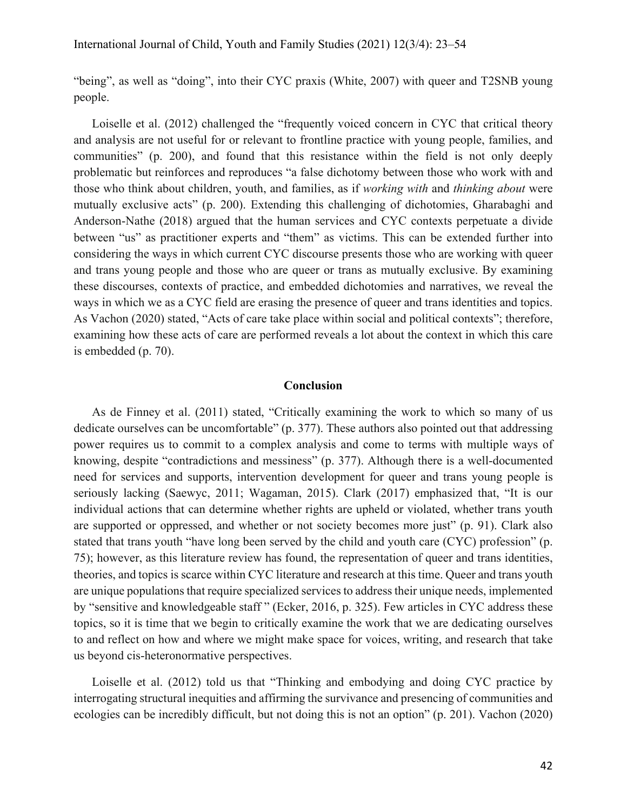"being", as well as "doing", into their CYC praxis (White, 2007) with queer and T2SNB young people.

Loiselle et al. (2012) challenged the "frequently voiced concern in CYC that critical theory and analysis are not useful for or relevant to frontline practice with young people, families, and communities" (p. 200), and found that this resistance within the field is not only deeply problematic but reinforces and reproduces "a false dichotomy between those who work with and those who think about children, youth, and families, as if *working with* and *thinking about* were mutually exclusive acts" (p. 200). Extending this challenging of dichotomies, Gharabaghi and Anderson-Nathe (2018) argued that the human services and CYC contexts perpetuate a divide between "us" as practitioner experts and "them" as victims. This can be extended further into considering the ways in which current CYC discourse presents those who are working with queer and trans young people and those who are queer or trans as mutually exclusive. By examining these discourses, contexts of practice, and embedded dichotomies and narratives, we reveal the ways in which we as a CYC field are erasing the presence of queer and trans identities and topics. As Vachon (2020) stated, "Acts of care take place within social and political contexts"; therefore, examining how these acts of care are performed reveals a lot about the context in which this care is embedded (p. 70).

#### **Conclusion**

As de Finney et al. (2011) stated, "Critically examining the work to which so many of us dedicate ourselves can be uncomfortable" (p. 377). These authors also pointed out that addressing power requires us to commit to a complex analysis and come to terms with multiple ways of knowing, despite "contradictions and messiness" (p. 377). Although there is a well-documented need for services and supports, intervention development for queer and trans young people is seriously lacking (Saewyc, 2011; Wagaman, 2015). Clark (2017) emphasized that, "It is our individual actions that can determine whether rights are upheld or violated, whether trans youth are supported or oppressed, and whether or not society becomes more just" (p. 91). Clark also stated that trans youth "have long been served by the child and youth care (CYC) profession" (p. 75); however, as this literature review has found, the representation of queer and trans identities, theories, and topics is scarce within CYC literature and research at this time. Queer and trans youth are unique populations that require specialized services to address their unique needs, implemented by "sensitive and knowledgeable staff " (Ecker, 2016, p. 325). Few articles in CYC address these topics, so it is time that we begin to critically examine the work that we are dedicating ourselves to and reflect on how and where we might make space for voices, writing, and research that take us beyond cis-heteronormative perspectives.

Loiselle et al. (2012) told us that "Thinking and embodying and doing CYC practice by interrogating structural inequities and affirming the survivance and presencing of communities and ecologies can be incredibly difficult, but not doing this is not an option" (p. 201). Vachon (2020)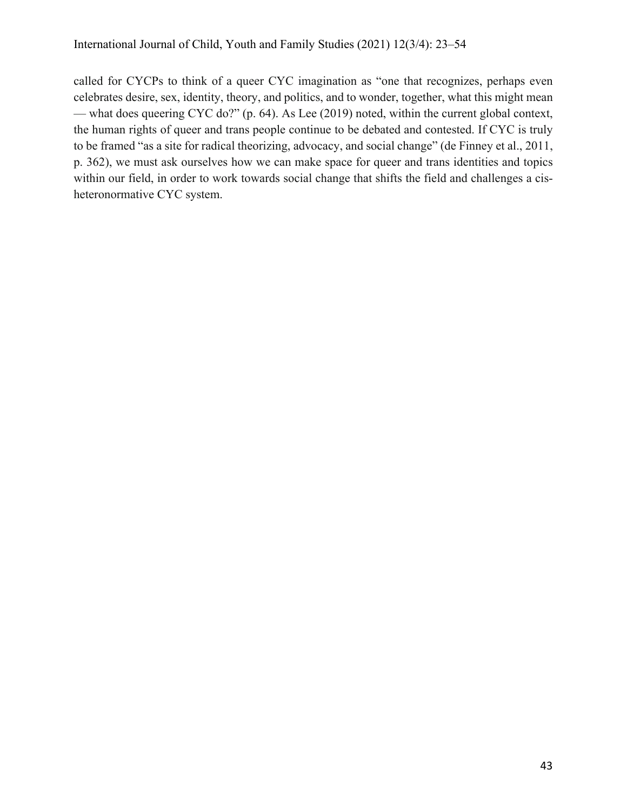called for CYCPs to think of a queer CYC imagination as "one that recognizes, perhaps even celebrates desire, sex, identity, theory, and politics, and to wonder, together, what this might mean — what does queering CYC do?" (p. 64). As Lee (2019) noted, within the current global context, the human rights of queer and trans people continue to be debated and contested. If CYC is truly to be framed "as a site for radical theorizing, advocacy, and social change" (de Finney et al., 2011, p. 362), we must ask ourselves how we can make space for queer and trans identities and topics within our field, in order to work towards social change that shifts the field and challenges a cisheteronormative CYC system.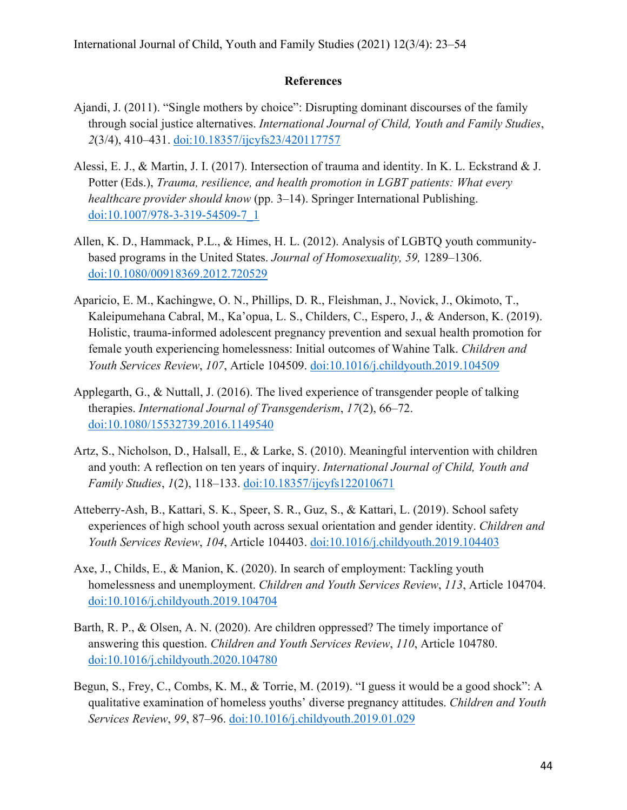# **References**

- Ajandi, J. (2011). "Single mothers by choice": Disrupting dominant discourses of the family through social justice alternatives. *International Journal of Child, Youth and Family Studies*, *2*(3/4), 410–431. doi:10.18357/ijcyfs23/420117757
- Alessi, E. J., & Martin, J. I. (2017). Intersection of trauma and identity. In K. L. Eckstrand & J. Potter (Eds.), *Trauma, resilience, and health promotion in LGBT patients: What every healthcare provider should know* (pp. 3–14). Springer International Publishing. doi:10.1007/978-3-319-54509-7\_1
- Allen, K. D., Hammack, P.L., & Himes, H. L. (2012). Analysis of LGBTQ youth communitybased programs in the United States. *Journal of Homosexuality, 59,* 1289–1306. doi:10.1080/00918369.2012.720529
- Aparicio, E. M., Kachingwe, O. N., Phillips, D. R., Fleishman, J., Novick, J., Okimoto, T., Kaleipumehana Cabral, M., Ka'opua, L. S., Childers, C., Espero, J., & Anderson, K. (2019). Holistic, trauma-informed adolescent pregnancy prevention and sexual health promotion for female youth experiencing homelessness: Initial outcomes of Wahine Talk. *Children and Youth Services Review*, *107*, Article 104509. doi:10.1016/j.childyouth.2019.104509
- Applegarth, G., & Nuttall, J. (2016). The lived experience of transgender people of talking therapies. *International Journal of Transgenderism*, *17*(2), 66–72. doi:10.1080/15532739.2016.1149540
- Artz, S., Nicholson, D., Halsall, E., & Larke, S. (2010). Meaningful intervention with children and youth: A reflection on ten years of inquiry. *International Journal of Child, Youth and Family Studies*, *1*(2), 118–133. doi:10.18357/ijcyfs122010671
- Atteberry-Ash, B., Kattari, S. K., Speer, S. R., Guz, S., & Kattari, L. (2019). School safety experiences of high school youth across sexual orientation and gender identity. *Children and Youth Services Review*, *104*, Article 104403. doi:10.1016/j.childyouth.2019.104403
- Axe, J., Childs, E., & Manion, K. (2020). In search of employment: Tackling youth homelessness and unemployment. *Children and Youth Services Review*, *113*, Article 104704. doi:10.1016/j.childyouth.2019.104704
- Barth, R. P., & Olsen, A. N. (2020). Are children oppressed? The timely importance of answering this question. *Children and Youth Services Review*, *110*, Article 104780. doi:10.1016/j.childyouth.2020.104780
- Begun, S., Frey, C., Combs, K. M., & Torrie, M. (2019). "I guess it would be a good shock": A qualitative examination of homeless youths' diverse pregnancy attitudes. *Children and Youth Services Review*, *99*, 87–96. doi:10.1016/j.childyouth.2019.01.029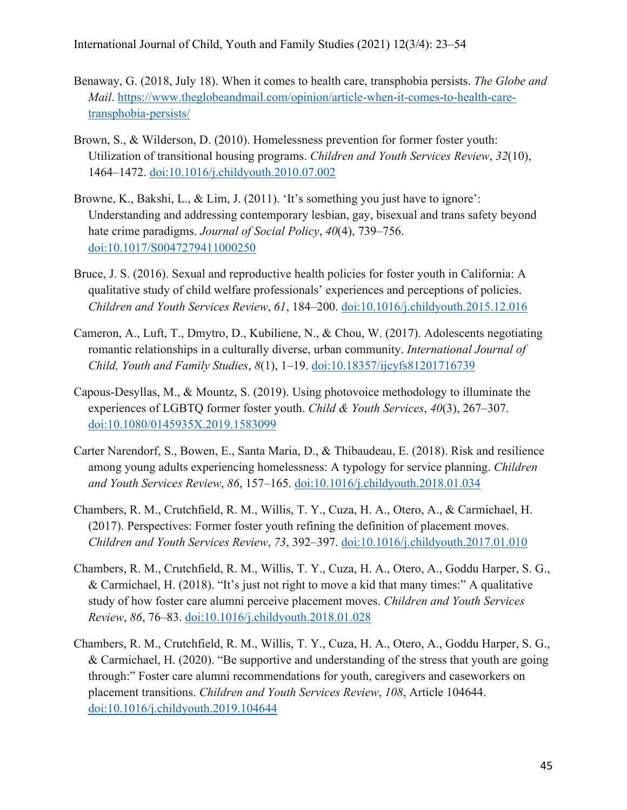- Benaway, G. (2018, July 18). When it comes to health care, transphobia persists. *The Globe and Mail*. https://www.theglobeandmail.com/opinion/article-when-it-comes-to-health-caretransphobia-persists/
- Brown, S., & Wilderson, D. (2010). Homelessness prevention for former foster youth: Utilization of transitional housing programs. *Children and Youth Services Review*, *32*(10), 1464–1472. doi:10.1016/j.childyouth.2010.07.002
- Browne, K., Bakshi, L., & Lim, J. (2011). 'It's something you just have to ignore': Understanding and addressing contemporary lesbian, gay, bisexual and trans safety beyond hate crime paradigms. *Journal of Social Policy*, *40*(4), 739–756. doi:10.1017/S0047279411000250
- Bruce, J. S. (2016). Sexual and reproductive health policies for foster youth in California: A qualitative study of child welfare professionals' experiences and perceptions of policies. *Children and Youth Services Review*, *61*, 184–200. doi:10.1016/j.childyouth.2015.12.016
- Cameron, A., Luft, T., Dmytro, D., Kubiliene, N., & Chou, W. (2017). Adolescents negotiating romantic relationships in a culturally diverse, urban community. *International Journal of Child, Youth and Family Studies*, *8*(1), 1–19. doi:10.18357/ijcyfs81201716739
- Capous-Desyllas, M., & Mountz, S. (2019). Using photovoice methodology to illuminate the experiences of LGBTQ former foster youth. *Child & Youth Services*, *40*(3), 267–307. doi:10.1080/0145935X.2019.1583099
- Carter Narendorf, S., Bowen, E., Santa Maria, D., & Thibaudeau, E. (2018). Risk and resilience among young adults experiencing homelessness: A typology for service planning. *Children and Youth Services Review*, *86*, 157–165. doi:10.1016/j.childyouth.2018.01.034
- Chambers, R. M., Crutchfield, R. M., Willis, T. Y., Cuza, H. A., Otero, A., & Carmichael, H. (2017). Perspectives: Former foster youth refining the definition of placement moves. *Children and Youth Services Review*, *73*, 392–397. doi:10.1016/j.childyouth.2017.01.010
- Chambers, R. M., Crutchfield, R. M., Willis, T. Y., Cuza, H. A., Otero, A., Goddu Harper, S. G., & Carmichael, H. (2018). "It's just not right to move a kid that many times:" A qualitative study of how foster care alumni perceive placement moves. *Children and Youth Services Review*, *86*, 76–83. doi:10.1016/j.childyouth.2018.01.028
- Chambers, R. M., Crutchfield, R. M., Willis, T. Y., Cuza, H. A., Otero, A., Goddu Harper, S. G., & Carmichael, H. (2020). "Be supportive and understanding of the stress that youth are going through:" Foster care alumni recommendations for youth, caregivers and caseworkers on placement transitions. *Children and Youth Services Review*, *108*, Article 104644. doi:10.1016/j.childyouth.2019.104644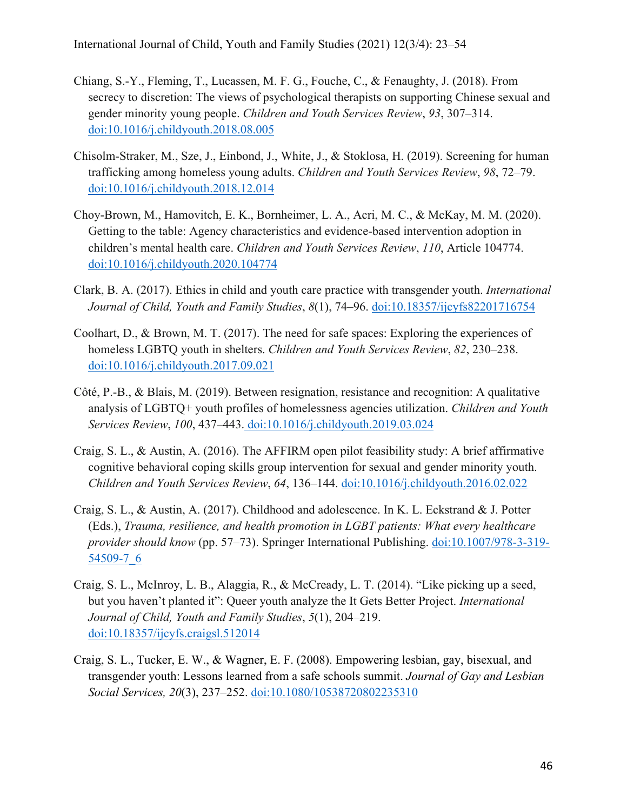- Chiang, S.-Y., Fleming, T., Lucassen, M. F. G., Fouche, C., & Fenaughty, J. (2018). From secrecy to discretion: The views of psychological therapists on supporting Chinese sexual and gender minority young people. *Children and Youth Services Review*, *93*, 307–314. doi:10.1016/j.childyouth.2018.08.005
- Chisolm-Straker, M., Sze, J., Einbond, J., White, J., & Stoklosa, H. (2019). Screening for human trafficking among homeless young adults. *Children and Youth Services Review*, *98*, 72–79. doi:10.1016/j.childyouth.2018.12.014
- Choy-Brown, M., Hamovitch, E. K., Bornheimer, L. A., Acri, M. C., & McKay, M. M. (2020). Getting to the table: Agency characteristics and evidence-based intervention adoption in children's mental health care. *Children and Youth Services Review*, *110*, Article 104774. doi:10.1016/j.childyouth.2020.104774
- Clark, B. A. (2017). Ethics in child and youth care practice with transgender youth. *International Journal of Child, Youth and Family Studies*, *8*(1), 74–96. doi:10.18357/ijcyfs82201716754
- Coolhart, D., & Brown, M. T. (2017). The need for safe spaces: Exploring the experiences of homeless LGBTQ youth in shelters. *Children and Youth Services Review*, *82*, 230–238. doi:10.1016/j.childyouth.2017.09.021
- Côté, P.-B., & Blais, M. (2019). Between resignation, resistance and recognition: A qualitative analysis of LGBTQ+ youth profiles of homelessness agencies utilization. *Children and Youth Services Review*, *100*, 437–443. doi:10.1016/j.childyouth.2019.03.024
- Craig, S. L., & Austin, A. (2016). The AFFIRM open pilot feasibility study: A brief affirmative cognitive behavioral coping skills group intervention for sexual and gender minority youth. *Children and Youth Services Review*, *64*, 136–144. doi:10.1016/j.childyouth.2016.02.022
- Craig, S. L., & Austin, A. (2017). Childhood and adolescence. In K. L. Eckstrand & J. Potter (Eds.), *Trauma, resilience, and health promotion in LGBT patients: What every healthcare provider should know* (pp. 57–73). Springer International Publishing. doi:10.1007/978-3-319- 54509-7\_6
- Craig, S. L., McInroy, L. B., Alaggia, R., & McCready, L. T. (2014). "Like picking up a seed, but you haven't planted it": Queer youth analyze the It Gets Better Project. *International Journal of Child, Youth and Family Studies*, *5*(1), 204–219. doi:10.18357/ijcyfs.craigsl.512014
- Craig, S. L., Tucker, E. W., & Wagner, E. F. (2008). Empowering lesbian, gay, bisexual, and transgender youth: Lessons learned from a safe schools summit. *Journal of Gay and Lesbian Social Services, 20*(3), 237–252. doi:10.1080/10538720802235310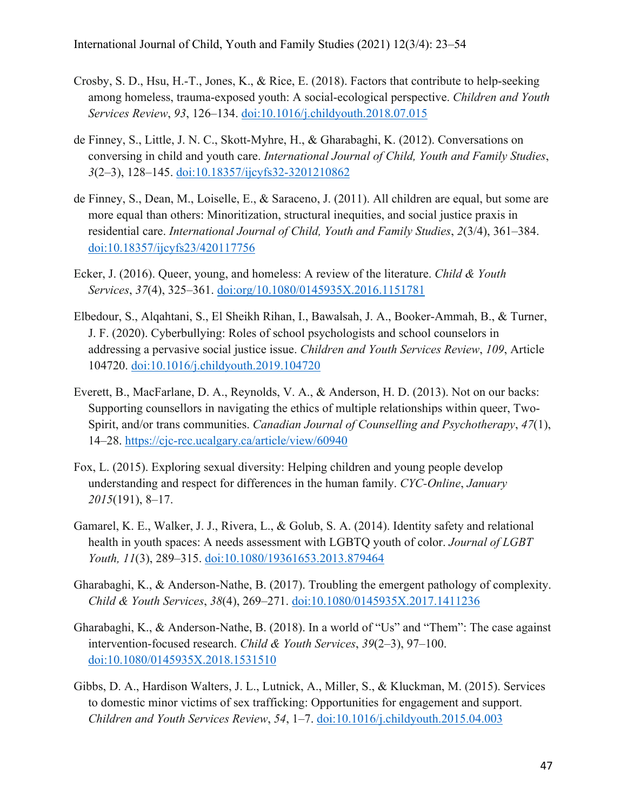- Crosby, S. D., Hsu, H.-T., Jones, K., & Rice, E. (2018). Factors that contribute to help-seeking among homeless, trauma-exposed youth: A social-ecological perspective. *Children and Youth Services Review*, *93*, 126–134. doi:10.1016/j.childyouth.2018.07.015
- de Finney, S., Little, J. N. C., Skott-Myhre, H., & Gharabaghi, K. (2012). Conversations on conversing in child and youth care. *International Journal of Child, Youth and Family Studies*, *3*(2–3), 128–145. doi:10.18357/ijcyfs32-3201210862
- de Finney, S., Dean, M., Loiselle, E., & Saraceno, J. (2011). All children are equal, but some are more equal than others: Minoritization, structural inequities, and social justice praxis in residential care. *International Journal of Child, Youth and Family Studies*, *2*(3/4), 361–384. doi:10.18357/ijcyfs23/420117756
- Ecker, J. (2016). Queer, young, and homeless: A review of the literature. *Child & Youth Services*, *37*(4), 325–361. doi:org/10.1080/0145935X.2016.1151781
- Elbedour, S., Alqahtani, S., El Sheikh Rihan, I., Bawalsah, J. A., Booker-Ammah, B., & Turner, J. F. (2020). Cyberbullying: Roles of school psychologists and school counselors in addressing a pervasive social justice issue. *Children and Youth Services Review*, *109*, Article 104720. doi:10.1016/j.childyouth.2019.104720
- Everett, B., MacFarlane, D. A., Reynolds, V. A., & Anderson, H. D. (2013). Not on our backs: Supporting counsellors in navigating the ethics of multiple relationships within queer, Two-Spirit, and/or trans communities. *Canadian Journal of Counselling and Psychotherapy*, *47*(1), 14–28. https://cjc-rcc.ucalgary.ca/article/view/60940
- Fox, L. (2015). Exploring sexual diversity: Helping children and young people develop understanding and respect for differences in the human family. *CYC-Online*, *January 2015*(191), 8–17.
- Gamarel, K. E., Walker, J. J., Rivera, L., & Golub, S. A. (2014). Identity safety and relational health in youth spaces: A needs assessment with LGBTQ youth of color. *Journal of LGBT Youth, 11*(3), 289–315. doi:10.1080/19361653.2013.879464
- Gharabaghi, K., & Anderson-Nathe, B. (2017). Troubling the emergent pathology of complexity. *Child & Youth Services*, *38*(4), 269–271. doi:10.1080/0145935X.2017.1411236
- Gharabaghi, K., & Anderson-Nathe, B. (2018). In a world of "Us" and "Them": The case against intervention-focused research. *Child & Youth Services*, *39*(2–3), 97–100. doi:10.1080/0145935X.2018.1531510
- Gibbs, D. A., Hardison Walters, J. L., Lutnick, A., Miller, S., & Kluckman, M. (2015). Services to domestic minor victims of sex trafficking: Opportunities for engagement and support. *Children and Youth Services Review*, *54*, 1–7. doi:10.1016/j.childyouth.2015.04.003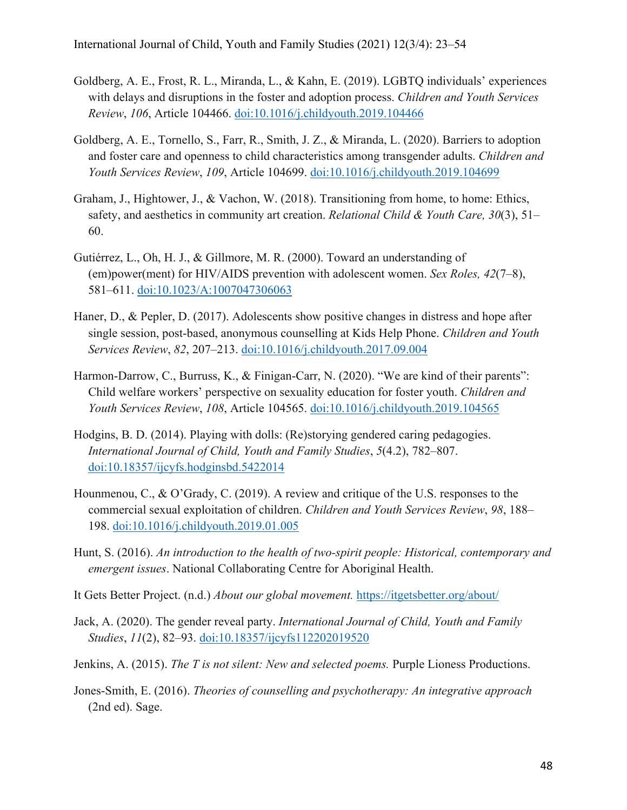- Goldberg, A. E., Frost, R. L., Miranda, L., & Kahn, E. (2019). LGBTQ individuals' experiences with delays and disruptions in the foster and adoption process. *Children and Youth Services Review*, *106*, Article 104466. doi:10.1016/j.childyouth.2019.104466
- Goldberg, A. E., Tornello, S., Farr, R., Smith, J. Z., & Miranda, L. (2020). Barriers to adoption and foster care and openness to child characteristics among transgender adults. *Children and Youth Services Review*, *109*, Article 104699. doi:10.1016/j.childyouth.2019.104699
- Graham, J., Hightower, J., & Vachon, W. (2018). Transitioning from home, to home: Ethics, safety, and aesthetics in community art creation. *Relational Child & Youth Care, 30*(3), 51– 60.
- Gutiérrez, L., Oh, H. J., & Gillmore, M. R. (2000). Toward an understanding of (em)power(ment) for HIV/AIDS prevention with adolescent women. *Sex Roles, 42*(7–8), 581–611. doi:10.1023/A:1007047306063
- Haner, D., & Pepler, D. (2017). Adolescents show positive changes in distress and hope after single session, post-based, anonymous counselling at Kids Help Phone. *Children and Youth Services Review*, *82*, 207–213. doi:10.1016/j.childyouth.2017.09.004
- Harmon-Darrow, C., Burruss, K., & Finigan-Carr, N. (2020). "We are kind of their parents": Child welfare workers' perspective on sexuality education for foster youth. *Children and Youth Services Review*, *108*, Article 104565. doi:10.1016/j.childyouth.2019.104565
- Hodgins, B. D. (2014). Playing with dolls: (Re)storying gendered caring pedagogies. *International Journal of Child, Youth and Family Studies*, *5*(4.2), 782–807. doi:10.18357/ijcyfs.hodginsbd.5422014
- Hounmenou, C., & O'Grady, C. (2019). A review and critique of the U.S. responses to the commercial sexual exploitation of children. *Children and Youth Services Review*, *98*, 188– 198. doi:10.1016/j.childyouth.2019.01.005
- Hunt, S. (2016). *An introduction to the health of two-spirit people: Historical, contemporary and emergent issues*. National Collaborating Centre for Aboriginal Health.
- It Gets Better Project. (n.d.) *About our global movement.* https://itgetsbetter.org/about/
- Jack, A. (2020). The gender reveal party. *International Journal of Child, Youth and Family Studies*, *11*(2), 82–93. doi:10.18357/ijcyfs112202019520
- Jenkins, A. (2015). *The T is not silent: New and selected poems.* Purple Lioness Productions.
- Jones-Smith, E. (2016). *Theories of counselling and psychotherapy: An integrative approach*  (2nd ed). Sage.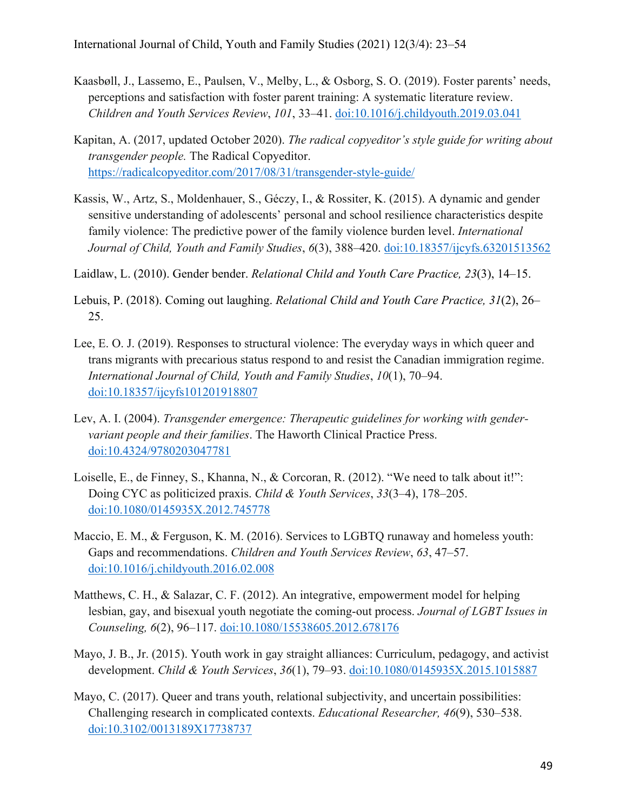- Kaasbøll, J., Lassemo, E., Paulsen, V., Melby, L., & Osborg, S. O. (2019). Foster parents' needs, perceptions and satisfaction with foster parent training: A systematic literature review. *Children and Youth Services Review*, *101*, 33–41. doi:10.1016/j.childyouth.2019.03.041
- Kapitan, A. (2017, updated October 2020). *The radical copyeditor's style guide for writing about transgender people.* The Radical Copyeditor. https://radicalcopyeditor.com/2017/08/31/transgender-style-guide/
- Kassis, W., Artz, S., Moldenhauer, S., Géczy, I., & Rossiter, K. (2015). A dynamic and gender sensitive understanding of adolescents' personal and school resilience characteristics despite family violence: The predictive power of the family violence burden level. *International Journal of Child, Youth and Family Studies*, *6*(3), 388–420. doi:10.18357/ijcyfs.63201513562
- Laidlaw, L. (2010). Gender bender. *Relational Child and Youth Care Practice, 23*(3), 14–15.
- Lebuis, P. (2018). Coming out laughing. *Relational Child and Youth Care Practice, 31*(2), 26– 25.
- Lee, E. O. J. (2019). Responses to structural violence: The everyday ways in which queer and trans migrants with precarious status respond to and resist the Canadian immigration regime. *International Journal of Child, Youth and Family Studies*, *10*(1), 70–94. doi:10.18357/ijcyfs101201918807
- Lev, A. I. (2004). *Transgender emergence: Therapeutic guidelines for working with gendervariant people and their families*. The Haworth Clinical Practice Press. doi:10.4324/9780203047781
- Loiselle, E., de Finney, S., Khanna, N., & Corcoran, R. (2012). "We need to talk about it!": Doing CYC as politicized praxis. *Child & Youth Services*, *33*(3–4), 178–205. doi:10.1080/0145935X.2012.745778
- Maccio, E. M., & Ferguson, K. M. (2016). Services to LGBTQ runaway and homeless youth: Gaps and recommendations. *Children and Youth Services Review*, *63*, 47–57. doi:10.1016/j.childyouth.2016.02.008
- Matthews, C. H., & Salazar, C. F. (2012). An integrative, empowerment model for helping lesbian, gay, and bisexual youth negotiate the coming-out process. *Journal of LGBT Issues in Counseling, 6*(2), 96–117. doi:10.1080/15538605.2012.678176
- Mayo, J. B., Jr. (2015). Youth work in gay straight alliances: Curriculum, pedagogy, and activist development. *Child & Youth Services*, *36*(1), 79–93. doi:10.1080/0145935X.2015.1015887
- Mayo, C. (2017). Queer and trans youth, relational subjectivity, and uncertain possibilities: Challenging research in complicated contexts. *Educational Researcher, 46*(9), 530–538. doi:10.3102/0013189X17738737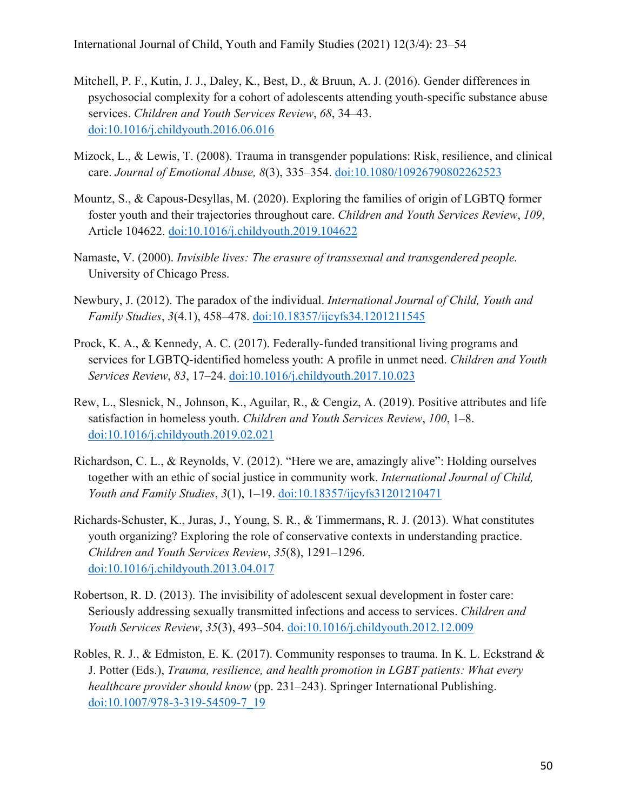- Mitchell, P. F., Kutin, J. J., Daley, K., Best, D., & Bruun, A. J. (2016). Gender differences in psychosocial complexity for a cohort of adolescents attending youth-specific substance abuse services. *Children and Youth Services Review*, *68*, 34–43. doi:10.1016/j.childyouth.2016.06.016
- Mizock, L., & Lewis, T. (2008). Trauma in transgender populations: Risk, resilience, and clinical care. *Journal of Emotional Abuse, 8*(3), 335–354. doi:10.1080/10926790802262523
- Mountz, S., & Capous-Desyllas, M. (2020). Exploring the families of origin of LGBTQ former foster youth and their trajectories throughout care. *Children and Youth Services Review*, *109*, Article 104622. doi:10.1016/j.childyouth.2019.104622
- Namaste, V. (2000). *Invisible lives: The erasure of transsexual and transgendered people.* University of Chicago Press.
- Newbury, J. (2012). The paradox of the individual. *International Journal of Child, Youth and Family Studies*, *3*(4.1), 458–478. doi:10.18357/ijcyfs34.1201211545
- Prock, K. A., & Kennedy, A. C. (2017). Federally-funded transitional living programs and services for LGBTQ-identified homeless youth: A profile in unmet need. *Children and Youth Services Review*, *83*, 17–24. doi:10.1016/j.childyouth.2017.10.023
- Rew, L., Slesnick, N., Johnson, K., Aguilar, R., & Cengiz, A. (2019). Positive attributes and life satisfaction in homeless youth. *Children and Youth Services Review*, *100*, 1–8. doi:10.1016/j.childyouth.2019.02.021
- Richardson, C. L., & Reynolds, V. (2012). "Here we are, amazingly alive": Holding ourselves together with an ethic of social justice in community work. *International Journal of Child, Youth and Family Studies*, *3*(1), 1–19. doi:10.18357/ijcyfs31201210471
- Richards-Schuster, K., Juras, J., Young, S. R., & Timmermans, R. J. (2013). What constitutes youth organizing? Exploring the role of conservative contexts in understanding practice. *Children and Youth Services Review*, *35*(8), 1291–1296. doi:10.1016/j.childyouth.2013.04.017
- Robertson, R. D. (2013). The invisibility of adolescent sexual development in foster care: Seriously addressing sexually transmitted infections and access to services. *Children and Youth Services Review*, *35*(3), 493–504. doi:10.1016/j.childyouth.2012.12.009
- Robles, R. J., & Edmiston, E. K. (2017). Community responses to trauma. In K. L. Eckstrand & J. Potter (Eds.), *Trauma, resilience, and health promotion in LGBT patients: What every healthcare provider should know* (pp. 231–243). Springer International Publishing. doi:10.1007/978-3-319-54509-7\_19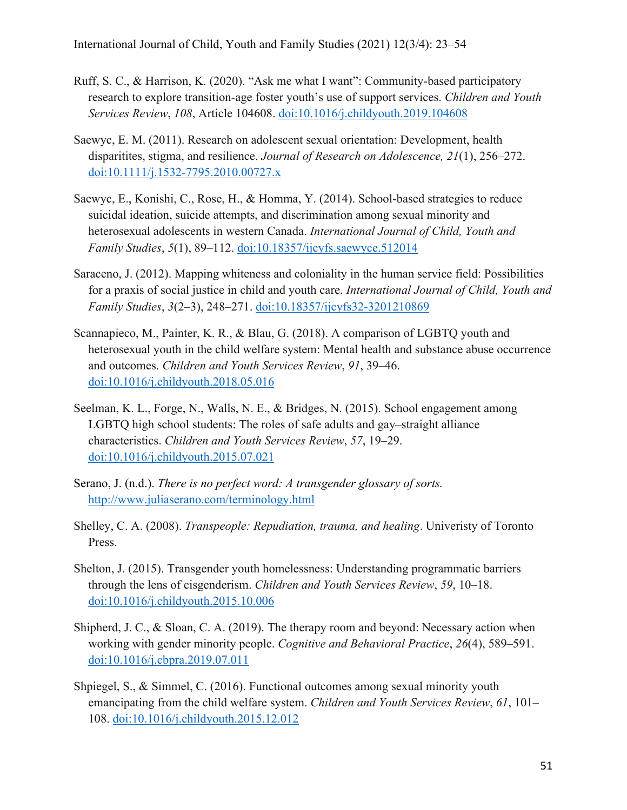- Ruff, S. C., & Harrison, K. (2020). "Ask me what I want": Community-based participatory research to explore transition-age foster youth's use of support services. *Children and Youth Services Review*, *108*, Article 104608. doi:10.1016/j.childyouth.2019.104608
- Saewyc, E. M. (2011). Research on adolescent sexual orientation: Development, health disparitites, stigma, and resilience. *Journal of Research on Adolescence, 21*(1), 256–272. doi:10.1111/j.1532-7795.2010.00727.x
- Saewyc, E., Konishi, C., Rose, H., & Homma, Y. (2014). School-based strategies to reduce suicidal ideation, suicide attempts, and discrimination among sexual minority and heterosexual adolescents in western Canada. *International Journal of Child, Youth and Family Studies*, *5*(1), 89–112. doi:10.18357/ijcyfs.saewyce.512014
- Saraceno, J. (2012). Mapping whiteness and coloniality in the human service field: Possibilities for a praxis of social justice in child and youth care. *International Journal of Child, Youth and Family Studies*, *3*(2–3), 248–271. doi:10.18357/ijcyfs32-3201210869
- Scannapieco, M., Painter, K. R., & Blau, G. (2018). A comparison of LGBTQ youth and heterosexual youth in the child welfare system: Mental health and substance abuse occurrence and outcomes. *Children and Youth Services Review*, *91*, 39–46. doi:10.1016/j.childyouth.2018.05.016
- Seelman, K. L., Forge, N., Walls, N. E., & Bridges, N. (2015). School engagement among LGBTQ high school students: The roles of safe adults and gay–straight alliance characteristics. *Children and Youth Services Review*, *57*, 19–29. doi:10.1016/j.childyouth.2015.07.021
- Serano, J. (n.d.). *There is no perfect word: A transgender glossary of sorts.* http://www.juliaserano.com/terminology.html
- Shelley, C. A. (2008). *Transpeople: Repudiation, trauma, and healing*. Univeristy of Toronto Press.
- Shelton, J. (2015). Transgender youth homelessness: Understanding programmatic barriers through the lens of cisgenderism. *Children and Youth Services Review*, *59*, 10–18. doi:10.1016/j.childyouth.2015.10.006
- Shipherd, J. C., & Sloan, C. A. (2019). The therapy room and beyond: Necessary action when working with gender minority people. *Cognitive and Behavioral Practice*, *26*(4), 589–591. doi:10.1016/j.cbpra.2019.07.011
- Shpiegel, S., & Simmel, C. (2016). Functional outcomes among sexual minority youth emancipating from the child welfare system. *Children and Youth Services Review*, *61*, 101– 108. doi:10.1016/j.childyouth.2015.12.012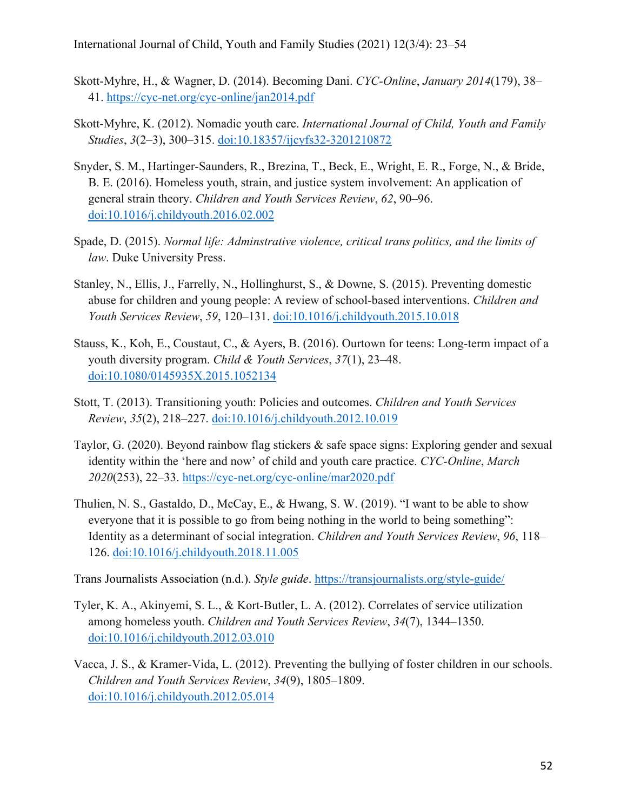- Skott-Myhre, H., & Wagner, D. (2014). Becoming Dani. *CYC-Online*, *January 2014*(179), 38– 41. https://cyc-net.org/cyc-online/jan2014.pdf
- Skott-Myhre, K. (2012). Nomadic youth care. *International Journal of Child, Youth and Family Studies*, *3*(2–3), 300–315. doi:10.18357/ijcyfs32-3201210872
- Snyder, S. M., Hartinger-Saunders, R., Brezina, T., Beck, E., Wright, E. R., Forge, N., & Bride, B. E. (2016). Homeless youth, strain, and justice system involvement: An application of general strain theory. *Children and Youth Services Review*, *62*, 90–96. doi:10.1016/j.childyouth.2016.02.002
- Spade, D. (2015). *Normal life: Adminstrative violence, critical trans politics, and the limits of law*. Duke University Press.
- Stanley, N., Ellis, J., Farrelly, N., Hollinghurst, S., & Downe, S. (2015). Preventing domestic abuse for children and young people: A review of school-based interventions. *Children and Youth Services Review*, *59*, 120–131. doi:10.1016/j.childyouth.2015.10.018
- Stauss, K., Koh, E., Coustaut, C., & Ayers, B. (2016). Ourtown for teens: Long-term impact of a youth diversity program. *Child & Youth Services*, *37*(1), 23–48. doi:10.1080/0145935X.2015.1052134
- Stott, T. (2013). Transitioning youth: Policies and outcomes. *Children and Youth Services Review*, *35*(2), 218–227. doi:10.1016/j.childyouth.2012.10.019
- Taylor, G. (2020). Beyond rainbow flag stickers & safe space signs: Exploring gender and sexual identity within the 'here and now' of child and youth care practice. *CYC-Online*, *March 2020*(253), 22–33. https://cyc-net.org/cyc-online/mar2020.pdf
- Thulien, N. S., Gastaldo, D., McCay, E., & Hwang, S. W. (2019). "I want to be able to show everyone that it is possible to go from being nothing in the world to being something": Identity as a determinant of social integration. *Children and Youth Services Review*, *96*, 118– 126. doi:10.1016/j.childyouth.2018.11.005

Trans Journalists Association (n.d.). *Style guide*. https://transjournalists.org/style-guide/

- Tyler, K. A., Akinyemi, S. L., & Kort-Butler, L. A. (2012). Correlates of service utilization among homeless youth. *Children and Youth Services Review*, *34*(7), 1344–1350. doi:10.1016/j.childyouth.2012.03.010
- Vacca, J. S., & Kramer-Vida, L. (2012). Preventing the bullying of foster children in our schools. *Children and Youth Services Review*, *34*(9), 1805–1809. doi:10.1016/j.childyouth.2012.05.014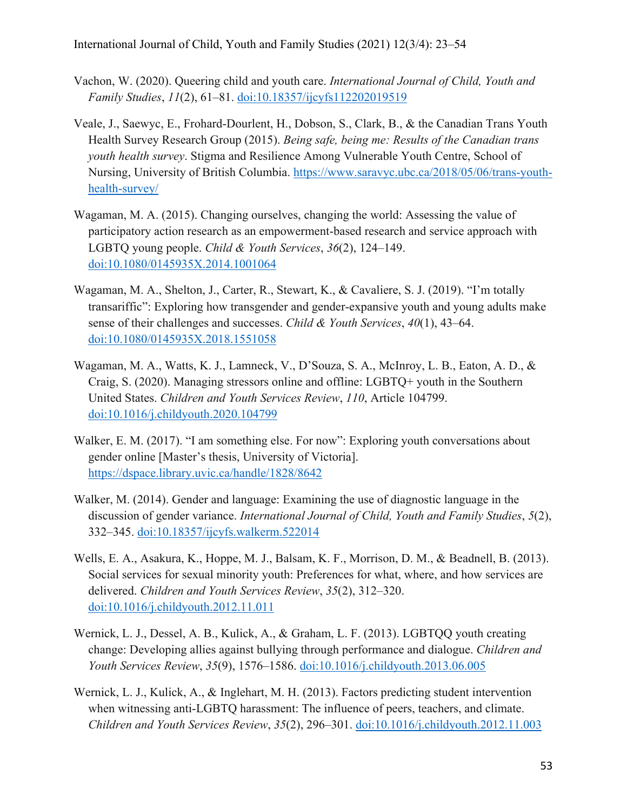- Vachon, W. (2020). Queering child and youth care. *International Journal of Child, Youth and Family Studies*, *11*(2), 61–81. doi:10.18357/ijcyfs112202019519
- Veale, J., Saewyc, E., Frohard-Dourlent, H., Dobson, S., Clark, B., & the Canadian Trans Youth Health Survey Research Group (2015). *Being safe, being me: Results of the Canadian trans youth health survey*. Stigma and Resilience Among Vulnerable Youth Centre, School of Nursing, University of British Columbia. https://www.saravyc.ubc.ca/2018/05/06/trans-youthhealth-survey/
- Wagaman, M. A. (2015). Changing ourselves, changing the world: Assessing the value of participatory action research as an empowerment-based research and service approach with LGBTQ young people. *Child & Youth Services*, *36*(2), 124–149. doi:10.1080/0145935X.2014.1001064
- Wagaman, M. A., Shelton, J., Carter, R., Stewart, K., & Cavaliere, S. J. (2019). "I'm totally transariffic": Exploring how transgender and gender-expansive youth and young adults make sense of their challenges and successes. *Child & Youth Services*, *40*(1), 43–64. doi:10.1080/0145935X.2018.1551058
- Wagaman, M. A., Watts, K. J., Lamneck, V., D'Souza, S. A., McInroy, L. B., Eaton, A. D., & Craig, S. (2020). Managing stressors online and offline: LGBTQ+ youth in the Southern United States. *Children and Youth Services Review*, *110*, Article 104799. doi:10.1016/j.childyouth.2020.104799
- Walker, E. M. (2017). "I am something else. For now": Exploring youth conversations about gender online [Master's thesis, University of Victoria]. https://dspace.library.uvic.ca/handle/1828/8642
- Walker, M. (2014). Gender and language: Examining the use of diagnostic language in the discussion of gender variance. *International Journal of Child, Youth and Family Studies*, *5*(2), 332–345. doi:10.18357/ijcyfs.walkerm.522014
- Wells, E. A., Asakura, K., Hoppe, M. J., Balsam, K. F., Morrison, D. M., & Beadnell, B. (2013). Social services for sexual minority youth: Preferences for what, where, and how services are delivered. *Children and Youth Services Review*, *35*(2), 312–320. doi:10.1016/j.childyouth.2012.11.011
- Wernick, L. J., Dessel, A. B., Kulick, A., & Graham, L. F. (2013). LGBTQQ youth creating change: Developing allies against bullying through performance and dialogue. *Children and Youth Services Review*, *35*(9), 1576–1586. doi:10.1016/j.childyouth.2013.06.005
- Wernick, L. J., Kulick, A., & Inglehart, M. H. (2013). Factors predicting student intervention when witnessing anti-LGBTQ harassment: The influence of peers, teachers, and climate. *Children and Youth Services Review*, *35*(2), 296–301. doi:10.1016/j.childyouth.2012.11.003